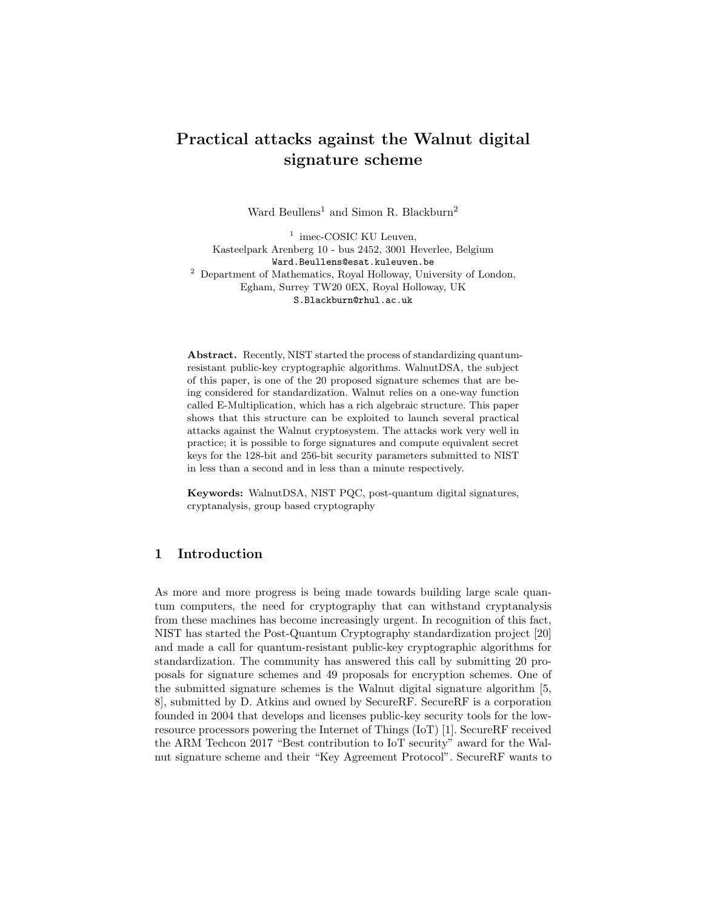# Practical attacks against the Walnut digital signature scheme

Ward Beullens<sup>1</sup> and Simon R. Blackburn<sup>2</sup>

<sup>1</sup> imec-COSIC KU Leuven, Kasteelpark Arenberg 10 - bus 2452, 3001 Heverlee, Belgium Ward.Beullens@esat.kuleuven.be <sup>2</sup> Department of Mathematics, Royal Holloway, University of London, Egham, Surrey TW20 0EX, Royal Holloway, UK S.Blackburn@rhul.ac.uk

Abstract. Recently, NIST started the process of standardizing quantumresistant public-key cryptographic algorithms. WalnutDSA, the subject of this paper, is one of the 20 proposed signature schemes that are being considered for standardization. Walnut relies on a one-way function called E-Multiplication, which has a rich algebraic structure. This paper shows that this structure can be exploited to launch several practical attacks against the Walnut cryptosystem. The attacks work very well in practice; it is possible to forge signatures and compute equivalent secret keys for the 128-bit and 256-bit security parameters submitted to NIST in less than a second and in less than a minute respectively.

Keywords: WalnutDSA, NIST PQC, post-quantum digital signatures, cryptanalysis, group based cryptography

# 1 Introduction

As more and more progress is being made towards building large scale quantum computers, the need for cryptography that can withstand cryptanalysis from these machines has become increasingly urgent. In recognition of this fact, NIST has started the Post-Quantum Cryptography standardization project [20] and made a call for quantum-resistant public-key cryptographic algorithms for standardization. The community has answered this call by submitting 20 proposals for signature schemes and 49 proposals for encryption schemes. One of the submitted signature schemes is the Walnut digital signature algorithm [5, 8], submitted by D. Atkins and owned by SecureRF. SecureRF is a corporation founded in 2004 that develops and licenses public-key security tools for the lowresource processors powering the Internet of Things (IoT) [1]. SecureRF received the ARM Techcon 2017 "Best contribution to IoT security" award for the Walnut signature scheme and their "Key Agreement Protocol". SecureRF wants to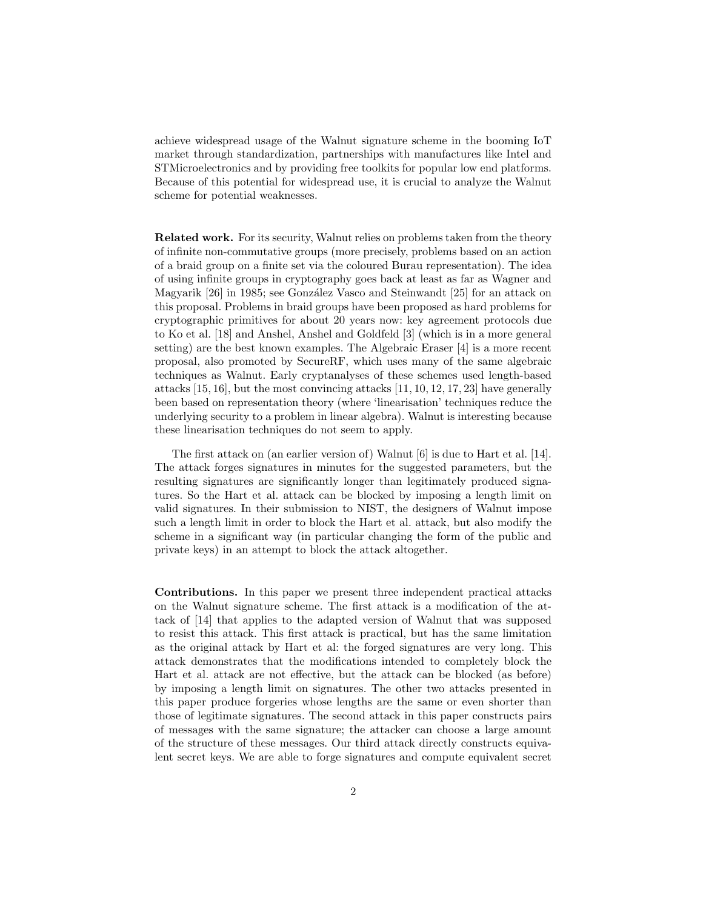achieve widespread usage of the Walnut signature scheme in the booming IoT market through standardization, partnerships with manufactures like Intel and STMicroelectronics and by providing free toolkits for popular low end platforms. Because of this potential for widespread use, it is crucial to analyze the Walnut scheme for potential weaknesses.

Related work. For its security, Walnut relies on problems taken from the theory of infinite non-commutative groups (more precisely, problems based on an action of a braid group on a finite set via the coloured Burau representation). The idea of using infinite groups in cryptography goes back at least as far as Wagner and Magyarik [26] in 1985; see González Vasco and Steinwandt [25] for an attack on this proposal. Problems in braid groups have been proposed as hard problems for cryptographic primitives for about 20 years now: key agreement protocols due to Ko et al. [18] and Anshel, Anshel and Goldfeld [3] (which is in a more general setting) are the best known examples. The Algebraic Eraser [4] is a more recent proposal, also promoted by SecureRF, which uses many of the same algebraic techniques as Walnut. Early cryptanalyses of these schemes used length-based attacks [15, 16], but the most convincing attacks [11, 10, 12, 17, 23] have generally been based on representation theory (where 'linearisation' techniques reduce the underlying security to a problem in linear algebra). Walnut is interesting because these linearisation techniques do not seem to apply.

The first attack on (an earlier version of) Walnut [6] is due to Hart et al. [14]. The attack forges signatures in minutes for the suggested parameters, but the resulting signatures are significantly longer than legitimately produced signatures. So the Hart et al. attack can be blocked by imposing a length limit on valid signatures. In their submission to NIST, the designers of Walnut impose such a length limit in order to block the Hart et al. attack, but also modify the scheme in a significant way (in particular changing the form of the public and private keys) in an attempt to block the attack altogether.

Contributions. In this paper we present three independent practical attacks on the Walnut signature scheme. The first attack is a modification of the attack of [14] that applies to the adapted version of Walnut that was supposed to resist this attack. This first attack is practical, but has the same limitation as the original attack by Hart et al: the forged signatures are very long. This attack demonstrates that the modifications intended to completely block the Hart et al. attack are not effective, but the attack can be blocked (as before) by imposing a length limit on signatures. The other two attacks presented in this paper produce forgeries whose lengths are the same or even shorter than those of legitimate signatures. The second attack in this paper constructs pairs of messages with the same signature; the attacker can choose a large amount of the structure of these messages. Our third attack directly constructs equivalent secret keys. We are able to forge signatures and compute equivalent secret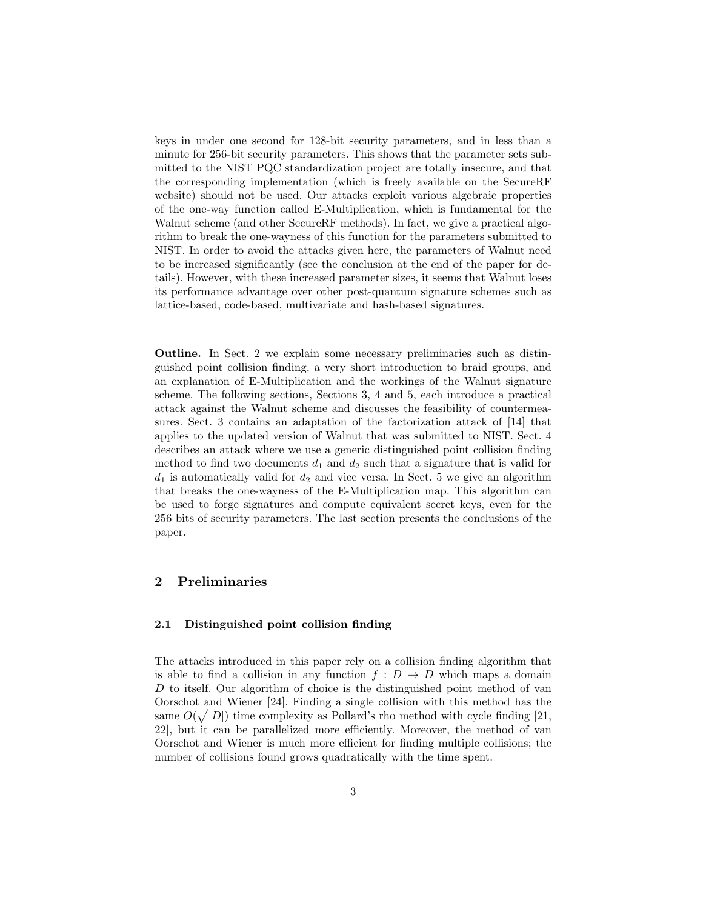keys in under one second for 128-bit security parameters, and in less than a minute for 256-bit security parameters. This shows that the parameter sets submitted to the NIST PQC standardization project are totally insecure, and that the corresponding implementation (which is freely available on the SecureRF website) should not be used. Our attacks exploit various algebraic properties of the one-way function called E-Multiplication, which is fundamental for the Walnut scheme (and other SecureRF methods). In fact, we give a practical algorithm to break the one-wayness of this function for the parameters submitted to NIST. In order to avoid the attacks given here, the parameters of Walnut need to be increased significantly (see the conclusion at the end of the paper for details). However, with these increased parameter sizes, it seems that Walnut loses its performance advantage over other post-quantum signature schemes such as lattice-based, code-based, multivariate and hash-based signatures.

Outline. In Sect. 2 we explain some necessary preliminaries such as distinguished point collision finding, a very short introduction to braid groups, and an explanation of E-Multiplication and the workings of the Walnut signature scheme. The following sections, Sections 3, 4 and 5, each introduce a practical attack against the Walnut scheme and discusses the feasibility of countermeasures. Sect. 3 contains an adaptation of the factorization attack of [14] that applies to the updated version of Walnut that was submitted to NIST. Sect. 4 describes an attack where we use a generic distinguished point collision finding method to find two documents  $d_1$  and  $d_2$  such that a signature that is valid for  $d_1$  is automatically valid for  $d_2$  and vice versa. In Sect. 5 we give an algorithm that breaks the one-wayness of the E-Multiplication map. This algorithm can be used to forge signatures and compute equivalent secret keys, even for the 256 bits of security parameters. The last section presents the conclusions of the paper.

# 2 Preliminaries

## 2.1 Distinguished point collision finding

The attacks introduced in this paper rely on a collision finding algorithm that is able to find a collision in any function  $f: D \to D$  which maps a domain D to itself. Our algorithm of choice is the distinguished point method of van Oorschot and Wiener [24]. Finding a single collision with this method has the same  $O(\sqrt{|D|})$  time complexity as Pollard's rho method with cycle finding [21, 22], but it can be parallelized more efficiently. Moreover, the method of van Oorschot and Wiener is much more efficient for finding multiple collisions; the number of collisions found grows quadratically with the time spent.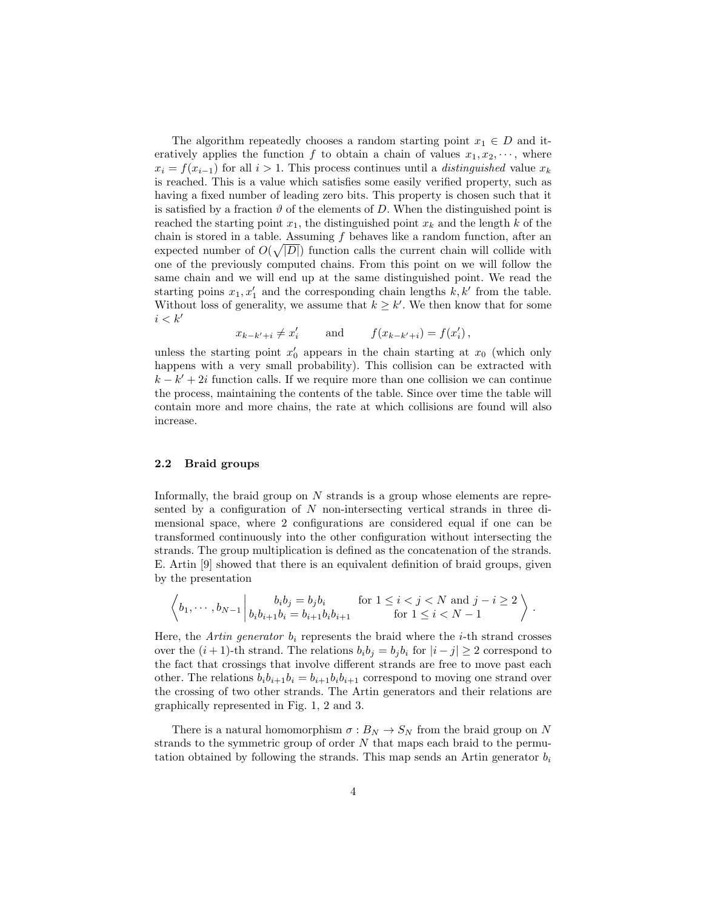The algorithm repeatedly chooses a random starting point  $x_1 \in D$  and iteratively applies the function f to obtain a chain of values  $x_1, x_2, \dots$ , where  $x_i = f(x_{i-1})$  for all  $i > 1$ . This process continues until a *distinguished* value  $x_k$ is reached. This is a value which satisfies some easily verified property, such as having a fixed number of leading zero bits. This property is chosen such that it is satisfied by a fraction  $\vartheta$  of the elements of D. When the distinguished point is reached the starting point  $x_1$ , the distinguished point  $x_k$  and the length k of the chain is stored in a table. Assuming  $f$  behaves like a random function, after an expected number of  $O(\sqrt{|D|})$  function calls the current chain will collide with one of the previously computed chains. From this point on we will follow the same chain and we will end up at the same distinguished point. We read the starting poins  $x_1, x_1'$  and the corresponding chain lengths  $k, k'$  from the table. Without loss of generality, we assume that  $k \geq k'$ . We then know that for some  $i < k'$ 

> $x_{k-k'+i} \neq x'_i$  $f(x_{k-k'+i}) = f(x'_i),$

unless the starting point  $x'_0$  appears in the chain starting at  $x_0$  (which only happens with a very small probability). This collision can be extracted with  $k - k' + 2i$  function calls. If we require more than one collision we can continue the process, maintaining the contents of the table. Since over time the table will contain more and more chains, the rate at which collisions are found will also increase.

## 2.2 Braid groups

Informally, the braid group on N strands is a group whose elements are represented by a configuration of  $N$  non-intersecting vertical strands in three dimensional space, where 2 configurations are considered equal if one can be transformed continuously into the other configuration without intersecting the strands. The group multiplication is defined as the concatenation of the strands. E. Artin [9] showed that there is an equivalent definition of braid groups, given by the presentation

$$
\left\langle b_1, \cdots, b_{N-1} \middle| \begin{array}{ll} b_i b_j = b_j b_i & \text{for } 1 \leq i < j < N \text{ and } j - i \geq 2 \\ b_i b_{i+1} b_i = b_{i+1} b_i b_{i+1} & \text{for } 1 \leq i < N - 1 \end{array} \right\rangle.
$$

Here, the Artin generator  $b_i$  represents the braid where the *i*-th strand crosses over the  $(i + 1)$ -th strand. The relations  $b_i b_j = b_j b_i$  for  $|i - j| \geq 2$  correspond to the fact that crossings that involve different strands are free to move past each other. The relations  $b_i b_{i+1} b_i = b_{i+1} b_i b_{i+1}$  correspond to moving one strand over the crossing of two other strands. The Artin generators and their relations are graphically represented in Fig. 1, 2 and 3.

There is a natural homomorphism  $\sigma : B_N \to S_N$  from the braid group on N strands to the symmetric group of order  $N$  that maps each braid to the permutation obtained by following the strands. This map sends an Artin generator  $b_i$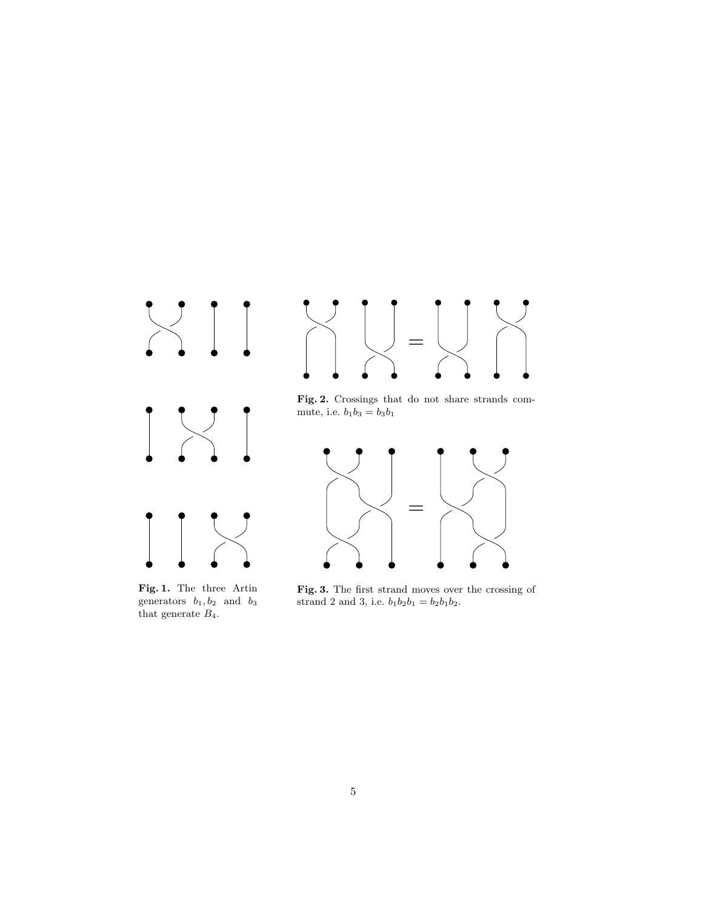

Fig. 1. The three Artin generators  $b_1, b_2$  and  $b_3$ that generate  $B_4$ .



Fig. 2. Crossings that do not share strands commute, i.e.  $b_1b_3 = b_3b_1$ 



Fig. 3. The first strand moves over the crossing of strand 2 and 3, i.e.  $b_1b_2b_1 = b_2b_1b_2$ .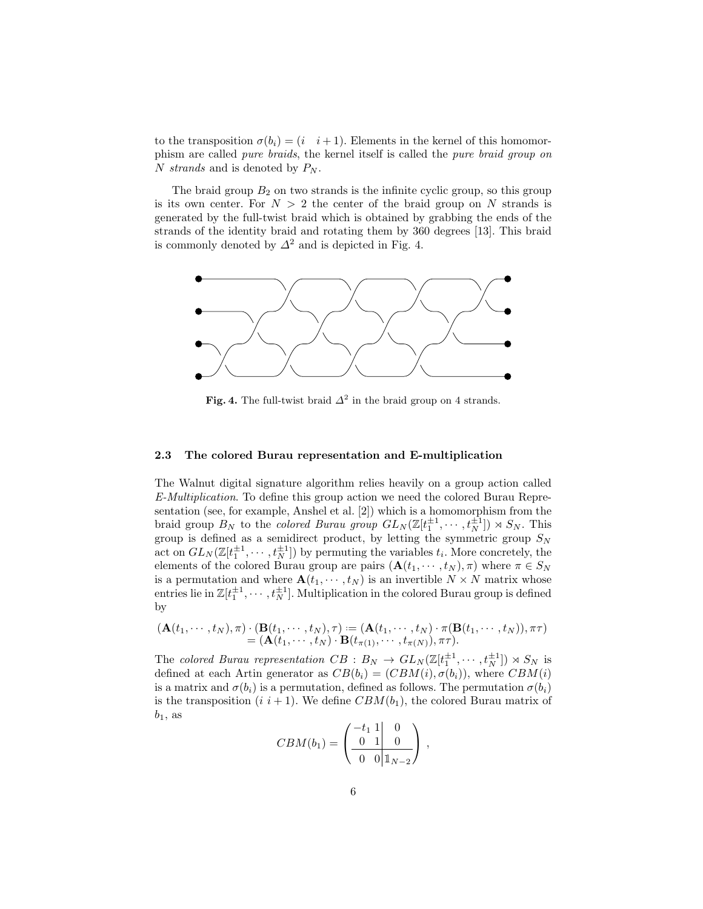to the transposition  $\sigma(b_i) = (i \ i+1)$ . Elements in the kernel of this homomorphism are called pure braids, the kernel itself is called the pure braid group on N strands and is denoted by  $P_N$ .

The braid group  $B_2$  on two strands is the infinite cyclic group, so this group is its own center. For  $N > 2$  the center of the braid group on N strands is generated by the full-twist braid which is obtained by grabbing the ends of the strands of the identity braid and rotating them by 360 degrees [13]. This braid is commonly denoted by  $\Delta^2$  and is depicted in Fig. 4.



Fig. 4. The full-twist braid  $\Delta^2$  in the braid group on 4 strands.

#### 2.3 The colored Burau representation and E-multiplication

The Walnut digital signature algorithm relies heavily on a group action called E-Multiplication. To define this group action we need the colored Burau Representation (see, for example, Anshel et al. [2]) which is a homomorphism from the braid group  $B_N$  to the *colored Burau group*  $GL_N(\mathbb{Z}[t_1^{\pm 1},\dots,t_N^{\pm 1}]) \rtimes S_N$ . This group is defined as a semidirect product, by letting the symmetric group  $S_N$ act on  $GL_N(\mathbb{Z}[t_1^{\pm 1},\dots, t_N^{\pm 1}])$  by permuting the variables  $t_i$ . More concretely, the elements of the colored Burau group are pairs  $(\mathbf{A}(t_1, \dots, t_N), \pi)$  where  $\pi \in S_N$ is a permutation and where  $\mathbf{A}(t_1, \dots, t_N)$  is an invertible  $N \times N$  matrix whose entries lie in  $\mathbb{Z}[t_1^{\pm 1}, \cdots, t_N^{\pm 1}]$ . Multiplication in the colored Burau group is defined by

$$
(\mathbf{A}(t_1,\dots,t_N),\pi)\cdot(\mathbf{B}(t_1,\dots,t_N),\tau) := (\mathbf{A}(t_1,\dots,t_N)\cdot\pi(\mathbf{B}(t_1,\dots,t_N)),\pi\tau) = (\mathbf{A}(t_1,\dots,t_N)\cdot\mathbf{B}(t_{\pi(1)},\dots,t_{\pi(N)}),\pi\tau).
$$

The colored Burau representation  $CB : B_N \to GL_N(\mathbb{Z}[t_1^{\pm 1}, \cdots, t_N^{\pm 1}]) \rtimes S_N$  is defined at each Artin generator as  $CB(b_i) = (CBM(i), \sigma(b_i))$ , where  $CBM(i)$ is a matrix and  $\sigma(b_i)$  is a permutation, defined as follows. The permutation  $\sigma(b_i)$ is the transposition  $(i i + 1)$ . We define  $CBM(b_1)$ , the colored Burau matrix of  $b_1$ , as

$$
CBM(b_1) = \begin{pmatrix} -t_1 & 1 & 0 \\ 0 & 1 & 0 \\ 0 & 0 & 1_{N-2} \end{pmatrix},
$$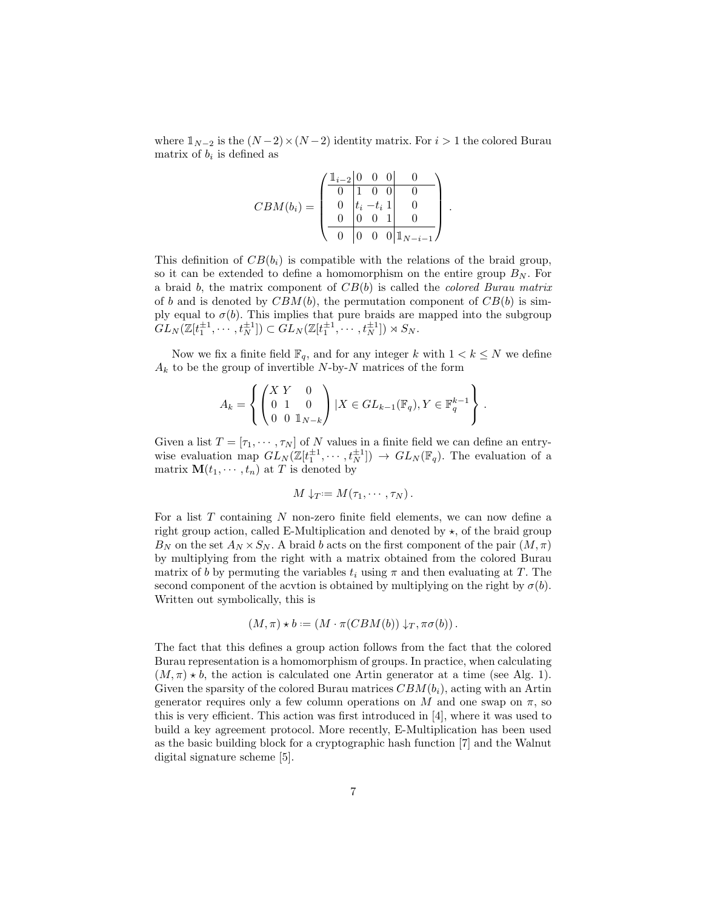where  $1_{N-2}$  is the  $(N-2) \times (N-2)$  identity matrix. For  $i > 1$  the colored Burau matrix of  $b_i$  is defined as

$$
CBM(b_i) = \begin{pmatrix} \frac{\mathbb{1}_{i-2} | 0 & 0 & 0 | & 0}{1 & 0 & 0 & 0} \\ 0 & t_i & -t_i & 1 & 0 & 0 \\ 0 & 0 & 0 & 1 & 0 & 0 \\ 0 & 0 & 0 & 0 & \mathbb{1}_{N-i-1} \end{pmatrix}
$$

.

This definition of  $CB(b_i)$  is compatible with the relations of the braid group, so it can be extended to define a homomorphism on the entire group  $B_N$ . For a braid b, the matrix component of  $CB(b)$  is called the *colored Burau matrix* of b and is denoted by  $CBM(b)$ , the permutation component of  $CB(b)$  is simply equal to  $\sigma(b)$ . This implies that pure braids are mapped into the subgroup  $GL_N(\mathbb{Z}[t_1^{\pm 1}, \cdots, t_N^{\pm 1}]) \subset GL_N(\mathbb{Z}[t_1^{\pm 1}, \cdots, t_N^{\pm 1}]) \rtimes S_N.$ 

Now we fix a finite field  $\mathbb{F}_q$ , and for any integer k with  $1 < k \leq N$  we define  $A_k$  to be the group of invertible N-by-N matrices of the form

$$
A_k = \left\{ \begin{pmatrix} X \ Y & 0 \\ 0 & 1 & 0 \\ 0 & 0 & 1_{N-k} \end{pmatrix} | X \in GL_{k-1}(\mathbb{F}_q), Y \in \mathbb{F}_q^{k-1} \right\}.
$$

Given a list  $T = [\tau_1, \cdots, \tau_N]$  of N values in a finite field we can define an entrywise evaluation map  $GL_N(\mathbb{Z}[t_1^{\pm 1},\cdots,t_N^{\pm 1}]) \to GL_N(\mathbb{F}_q)$ . The evaluation of a matrix  $\mathbf{M}(t_1, \dots, t_n)$  at T is denoted by

$$
M\downarrow_T:=M(\tau_1,\cdots,\tau_N).
$$

For a list T containing N non-zero finite field elements, we can now define a right group action, called E-Multiplication and denoted by  $\star$ , of the braid group  $B_N$  on the set  $A_N \times S_N$ . A braid b acts on the first component of the pair  $(M, \pi)$ by multiplying from the right with a matrix obtained from the colored Burau matrix of b by permuting the variables  $t_i$  using  $\pi$  and then evaluating at T. The second component of the acvtion is obtained by multiplying on the right by  $\sigma(b)$ . Written out symbolically, this is

$$
(M,\pi)\star b:=(M\cdot \pi(CBM(b))\downarrow_T,\pi\sigma(b)).
$$

The fact that this defines a group action follows from the fact that the colored Burau representation is a homomorphism of groups. In practice, when calculating  $(M, \pi) \star b$ , the action is calculated one Artin generator at a time (see Alg. 1). Given the sparsity of the colored Burau matrices  $CBM(b_i)$ , acting with an Artin generator requires only a few column operations on M and one swap on  $\pi$ , so this is very efficient. This action was first introduced in [4], where it was used to build a key agreement protocol. More recently, E-Multiplication has been used as the basic building block for a cryptographic hash function [7] and the Walnut digital signature scheme [5].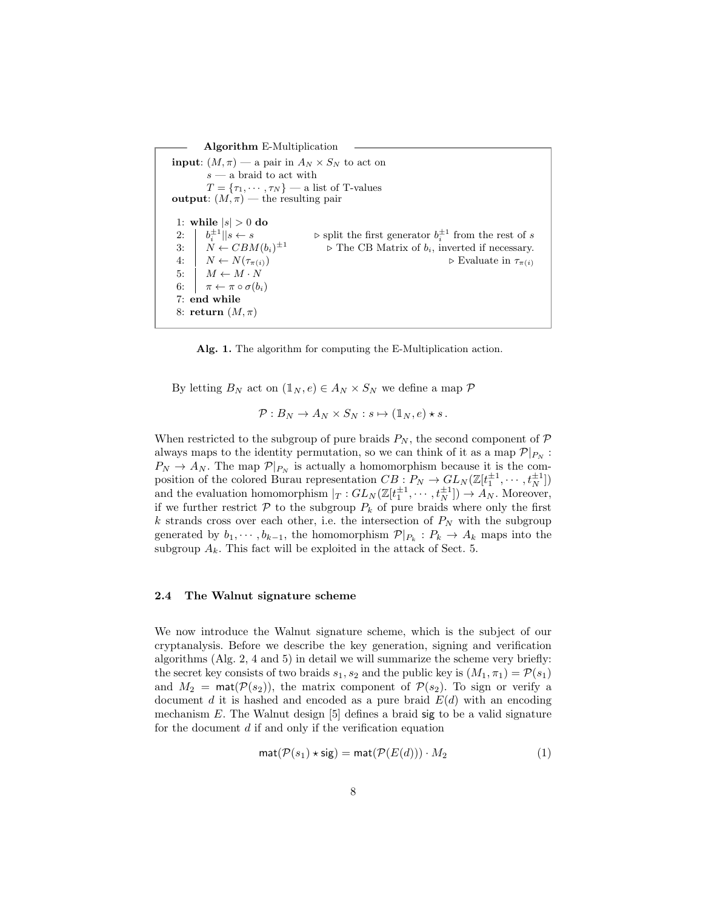Algorithm E-Multiplication **input**:  $(M, \pi)$  — a pair in  $A_N \times S_N$  to act on  $s$  — a braid to act with  $T = \{\tau_1, \cdots, \tau_N\}$  — a list of T-values output:  $(M, \pi)$  — the resulting pair 1: while  $|s| > 0$  do  $2:$  $\frac{1}{i}$  $||s \leftarrow s$  b split the first generator  $b_i^{\pm 1}$  from the rest of s 3:  $\mid N \leftarrow CBM(b_i)^{\pm 1}$  $\triangleright$  The CB Matrix of  $b_i$ , inverted if necessary. 4:  $N \leftarrow N(\tau_{\pi(i)})$   $\triangleright$  Evaluate in  $\tau_{\pi(i)}$ 5:  $M \leftarrow M \cdot N$ 6:  $\pi \leftarrow \pi \circ \sigma(b_i)$ 7: end while 8: return  $(M, \pi)$ 

Alg. 1. The algorithm for computing the E-Multiplication action.

By letting  $B_N$  act on  $(\mathbb{1}_N, e) \in A_N \times S_N$  we define a map  $\mathcal P$ 

 $\mathcal{P}: B_N \to A_N \times S_N : s \mapsto (\mathbb{1}_N, e) \star s$ .

When restricted to the subgroup of pure braids  $P_N$ , the second component of  $\mathcal P$ always maps to the identity permutation, so we can think of it as a map  $\mathcal{P}|_{P_N}$ :  $P_N \to A_N$ . The map  $\mathcal{P}|_{P_N}$  is actually a homomorphism because it is the composition of the colored Burau representation  $CB: P_N \to GL_N(\mathbb{Z}[t_1^{\pm 1}, \cdots, t_N^{\pm 1}])$ and the evaluation homomorphism  $|_T: GL_N(\mathbb{Z}[t_1^{\pm 1}, \cdots, t_N^{\pm 1}]) \to A_N$ . Moreover, if we further restrict  $P$  to the subgroup  $P_k$  of pure braids where only the first k strands cross over each other, i.e. the intersection of  $P_N$  with the subgroup generated by  $b_1, \dots, b_{k-1}$ , the homomorphism  $\mathcal{P}|_{P_k}: P_k \to A_k$  maps into the subgroup  $A_k$ . This fact will be exploited in the attack of Sect. 5.

#### 2.4 The Walnut signature scheme

We now introduce the Walnut signature scheme, which is the subject of our cryptanalysis. Before we describe the key generation, signing and verification algorithms (Alg. 2, 4 and 5) in detail we will summarize the scheme very briefly: the secret key consists of two braids  $s_1, s_2$  and the public key is  $(M_1, \pi_1) = \mathcal{P}(s_1)$ and  $M_2 = \text{mat}(\mathcal{P}(s_2))$ , the matrix component of  $\mathcal{P}(s_2)$ . To sign or verify a document d it is hashed and encoded as a pure braid  $E(d)$  with an encoding mechanism E. The Walnut design [5] defines a braid sig to be a valid signature for the document  $d$  if and only if the verification equation

$$
\text{mat}(\mathcal{P}(s_1) \star \text{sig}) = \text{mat}(\mathcal{P}(E(d))) \cdot M_2 \tag{1}
$$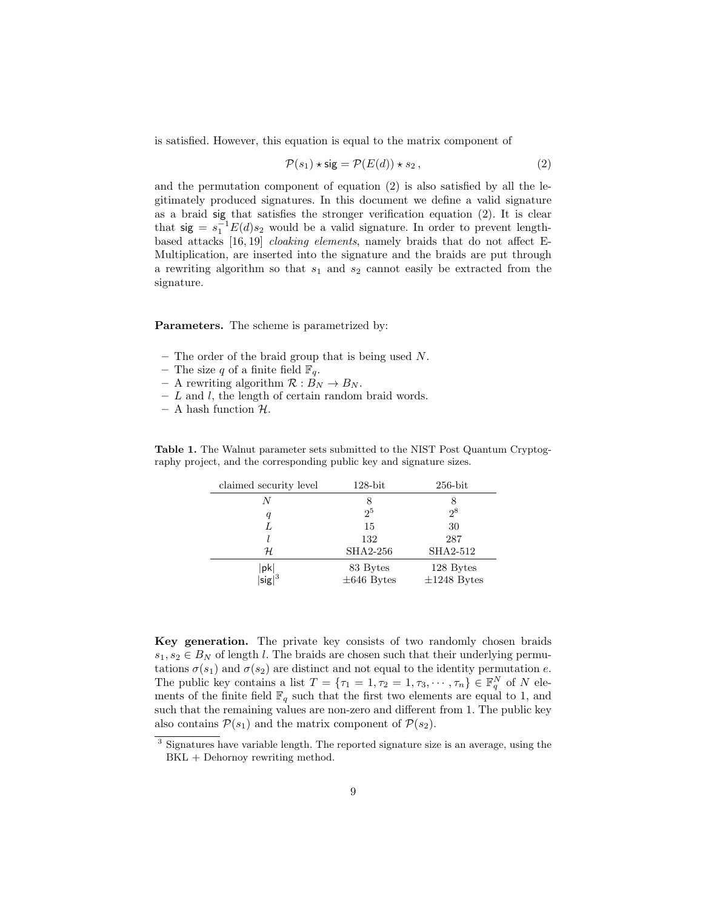is satisfied. However, this equation is equal to the matrix component of

$$
\mathcal{P}(s_1) \star \text{sig} = \mathcal{P}(E(d)) \star s_2, \qquad (2)
$$

and the permutation component of equation (2) is also satisfied by all the legitimately produced signatures. In this document we define a valid signature as a braid sig that satisfies the stronger verification equation (2). It is clear that  $sig = s_1^{-1}E(d)s_2$  would be a valid signature. In order to prevent lengthbased attacks [16, 19] cloaking elements, namely braids that do not affect E-Multiplication, are inserted into the signature and the braids are put through a rewriting algorithm so that  $s_1$  and  $s_2$  cannot easily be extracted from the signature.

Parameters. The scheme is parametrized by:

- The order of the braid group that is being used  $N$ .
- The size q of a finite field  $\mathbb{F}_q$ .
- A rewriting algorithm  $\mathcal{R}: B_N \to B_N$ .
- $L$  and  $l$ , the length of certain random braid words.
- A hash function  $H$ .

Table 1. The Walnut parameter sets submitted to the NIST Post Quantum Cryptography project, and the corresponding public key and signature sizes.

| claimed security level                | $128$ -bit      | $256$ -bit       |
|---------------------------------------|-----------------|------------------|
| N                                     | 8               | 8                |
| q                                     | $2^5$           | $2^8$            |
| L                                     | 15              | 30               |
|                                       | 132             | 287              |
| ${\mathcal H}$                        | SHA2-256        | SHA2-512         |
|                                       | 83 Bytes        | 128 Bytes        |
| $ \mathsf{pk} $<br>$ \mathsf{sig} ^3$ | $\pm 646$ Bytes | $\pm 1248$ Bytes |

Key generation. The private key consists of two randomly chosen braids  $s_1, s_2 \in B_N$  of length l. The braids are chosen such that their underlying permutations  $\sigma(s_1)$  and  $\sigma(s_2)$  are distinct and not equal to the identity permutation e. The public key contains a list  $T = \{\tau_1 = 1, \tau_2 = 1, \tau_3, \cdots, \tau_n\} \in \mathbb{F}_q^N$  of N elements of the finite field  $\mathbb{F}_q$  such that the first two elements are equal to 1, and such that the remaining values are non-zero and different from 1. The public key also contains  $\mathcal{P}(s_1)$  and the matrix component of  $\mathcal{P}(s_2)$ .

<sup>3</sup> Signatures have variable length. The reported signature size is an average, using the BKL + Dehornoy rewriting method.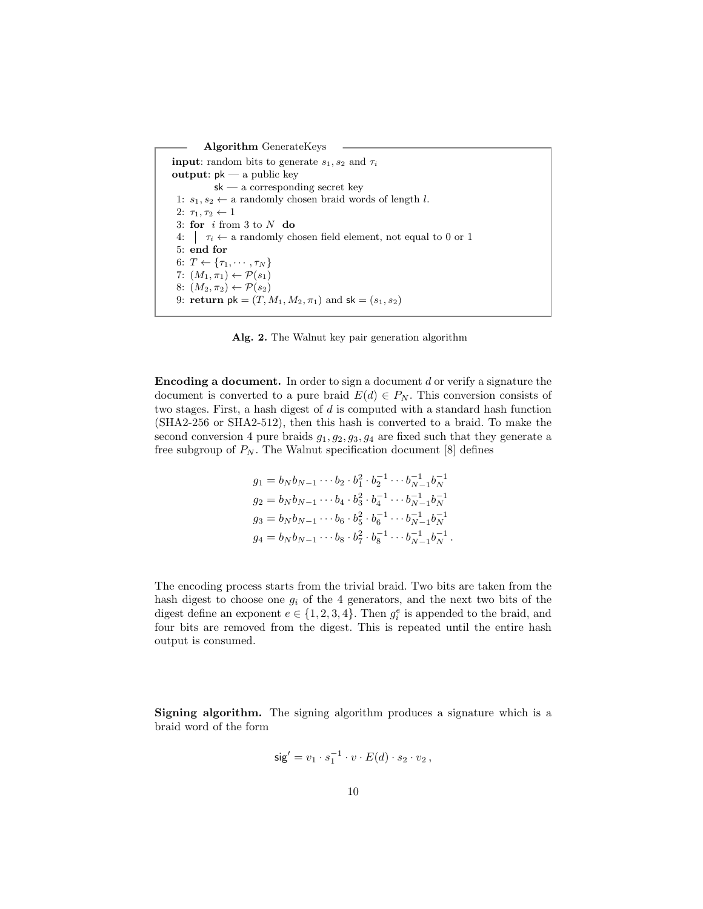#### Algorithm GenerateKeys

**input:** random bits to generate  $s_1, s_2$  and  $\tau_i$ output:  $pk$  — a public key  $\mathsf{sk} \longrightarrow \mathsf{a}$  corresponding secret key 1:  $s_1, s_2 \leftarrow$  a randomly chosen braid words of length l. 2:  $\tau_1, \tau_2 \leftarrow 1$ 3: for  $\ i$  from 3 to  $N$   $\,$  do  $\,$ 4:  $\tau_i \leftarrow$  a randomly chosen field element, not equal to 0 or 1 5: end for 6:  $T \leftarrow \{\tau_1, \cdots, \tau_N\}$ 7:  $(M_1, \pi_1) \leftarrow \mathcal{P}(s_1)$ 8:  $(M_2, \pi_2) \leftarrow \mathcal{P}(s_2)$ 9: **return**  $pk = (T, M_1, M_2, \pi_1)$  and  $sk = (s_1, s_2)$ 

Alg. 2. The Walnut key pair generation algorithm

**Encoding a document.** In order to sign a document  $d$  or verify a signature the document is converted to a pure braid  $E(d) \in P_N$ . This conversion consists of two stages. First, a hash digest of  $d$  is computed with a standard hash function (SHA2-256 or SHA2-512), then this hash is converted to a braid. To make the second conversion 4 pure braids  $g_1, g_2, g_3, g_4$  are fixed such that they generate a free subgroup of  $P_N$ . The Walnut specification document [8] defines

$$
g_1 = b_N b_{N-1} \cdots b_2 \cdot b_1^2 \cdot b_2^{-1} \cdots b_{N-1}^{-1} b_N^{-1}
$$
  
\n
$$
g_2 = b_N b_{N-1} \cdots b_4 \cdot b_3^2 \cdot b_4^{-1} \cdots b_{N-1}^{-1} b_N^{-1}
$$
  
\n
$$
g_3 = b_N b_{N-1} \cdots b_6 \cdot b_5^2 \cdot b_6^{-1} \cdots b_{N-1}^{-1} b_N^{-1}
$$
  
\n
$$
g_4 = b_N b_{N-1} \cdots b_8 \cdot b_7^2 \cdot b_8^{-1} \cdots b_{N-1}^{-1} b_N^{-1}.
$$

The encoding process starts from the trivial braid. Two bits are taken from the hash digest to choose one  $g_i$  of the 4 generators, and the next two bits of the digest define an exponent  $e \in \{1, 2, 3, 4\}$ . Then  $g_i^e$  is appended to the braid, and four bits are removed from the digest. This is repeated until the entire hash output is consumed.

Signing algorithm. The signing algorithm produces a signature which is a braid word of the form

$$
\mathsf{sig}' = v_1 \cdot s_1^{-1} \cdot v \cdot E(d) \cdot s_2 \cdot v_2 \,,
$$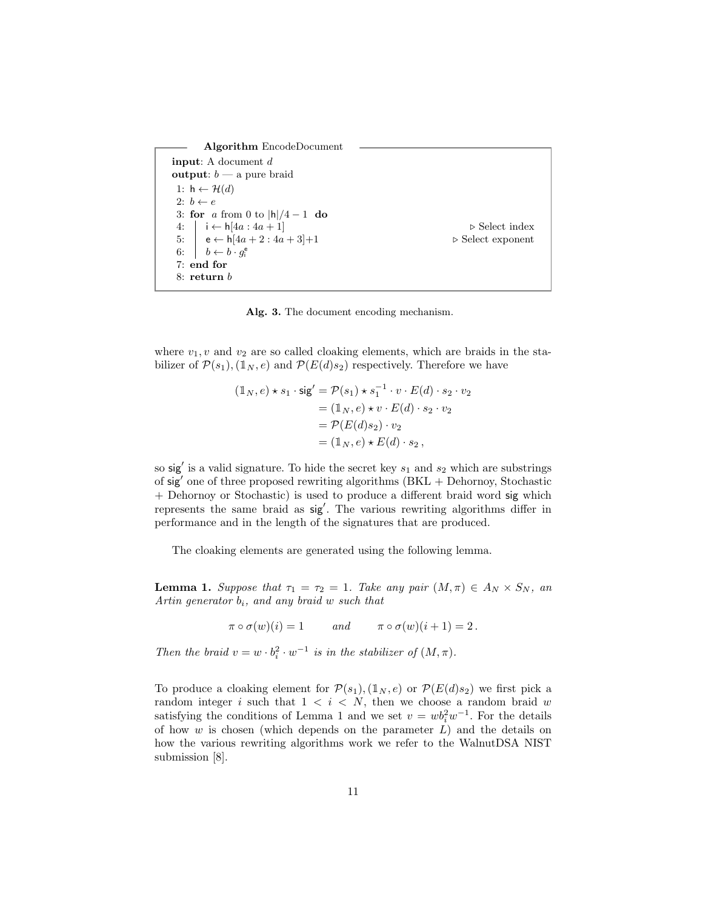

Alg. 3. The document encoding mechanism.

where  $v_1, v$  and  $v_2$  are so called cloaking elements, which are braids in the stabilizer of  $\mathcal{P}(s_1),(\mathbb{1}_N,e)$  and  $\mathcal{P}(E(d)s_2)$  respectively. Therefore we have

$$
(\mathbb{1}_N, e) \star s_1 \cdot \mathsf{sig}' = \mathcal{P}(s_1) \star s_1^{-1} \cdot v \cdot E(d) \cdot s_2 \cdot v_2
$$
  
=  $(\mathbb{1}_N, e) \star v \cdot E(d) \cdot s_2 \cdot v_2$   
=  $\mathcal{P}(E(d)s_2) \cdot v_2$   
=  $(\mathbb{1}_N, e) \star E(d) \cdot s_2$ ,

so sig' is a valid signature. To hide the secret key  $s_1$  and  $s_2$  which are substrings of  $sig'$  one of three proposed rewriting algorithms (BKL + Dehornoy, Stochastic + Dehornoy or Stochastic) is used to produce a different braid word sig which represents the same braid as sig'. The various rewriting algorithms differ in performance and in the length of the signatures that are produced.

The cloaking elements are generated using the following lemma.

**Lemma 1.** Suppose that  $\tau_1 = \tau_2 = 1$ . Take any pair  $(M, \pi) \in A_N \times S_N$ , an Artin generator  $b_i$ , and any braid w such that

 $\pi \circ \sigma(w)(i) = 1$  and  $\pi \circ \sigma(w)(i+1) = 2$ .

Then the braid  $v = w \cdot b_i^2 \cdot w^{-1}$  is in the stabilizer of  $(M, \pi)$ .

To produce a cloaking element for  $\mathcal{P}(s_1),(\mathbb{1}_N,e)$  or  $\mathcal{P}(E(d)s_2)$  we first pick a random integer i such that  $1 \le i \le N$ , then we choose a random braid w satisfying the conditions of Lemma 1 and we set  $v = wb_i^2 w^{-1}$ . For the details of how  $w$  is chosen (which depends on the parameter  $L$ ) and the details on how the various rewriting algorithms work we refer to the WalnutDSA NIST submission [8].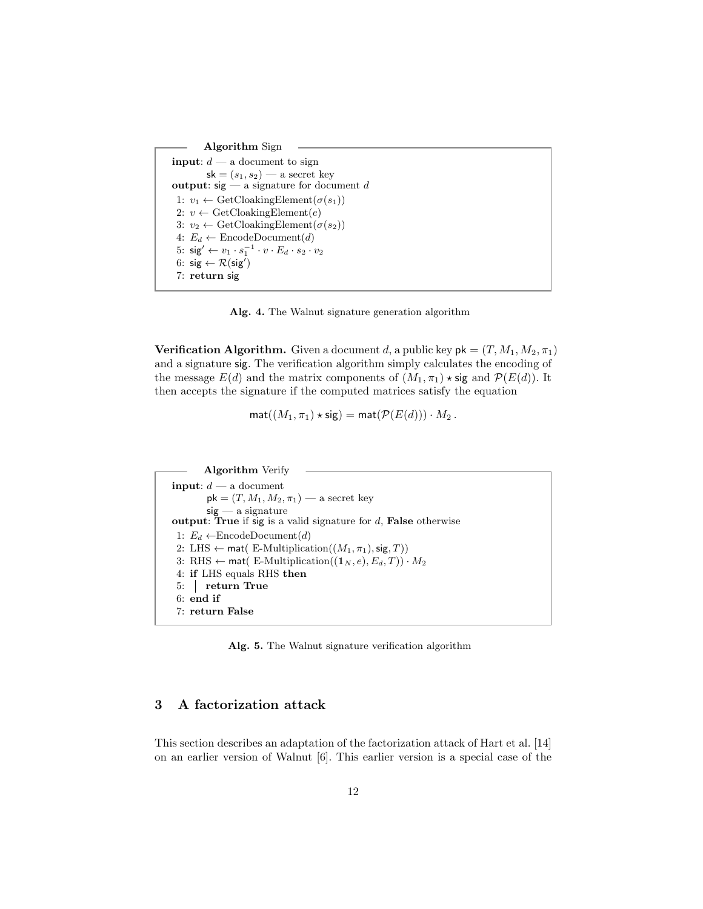```
Algorithm Sign
input: d — a document to sign
          sk = (s_1, s_2) — a secret key
output: sig - a signature for document d
 1: v_1 \leftarrow \text{GetCloudingElement}(\sigma(s_1))2: v \leftarrow \text{GetCloudingElement}(e)3: v_2 \leftarrow \text{GetCloudingElement}(\sigma(s_2))4: E_d \leftarrow EncodeDocument(d)
  5: \text{sig}' \leftarrow v_1 \cdot s_1^{-1} \cdot v \cdot E_d \cdot s_2 \cdot v_26: sig \leftarrow \mathcal{R}(sig')7: return sig
```
Alg. 4. The Walnut signature generation algorithm

**Verification Algorithm.** Given a document d, a public key  $pk = (T, M_1, M_2, \pi_1)$ and a signature sig. The verification algorithm simply calculates the encoding of the message  $E(d)$  and the matrix components of  $(M_1, \pi_1) \star$  sig and  $\mathcal{P}(E(d))$ . It then accepts the signature if the computed matrices satisfy the equation

 $\text{mat}((M_1, \pi_1) \star \text{sig}) = \text{mat}(\mathcal{P}(E(d))) \cdot M_2$ .

```
Algorithm Verify
input: d - a document
        pk = (T, M_1, M_2, \pi_1) — a secret key
        sig — a signature
output: True if sig is a valid signature for d, False otherwise
 1: E_d ←EncodeDocument(d)
 2: LHS \leftarrow mat( E-Multiplication((M_1, \pi_1), sig, T))
 3: RHS \leftarrow mat( E-Multiplication((\mathbb{1}_N, e), E_d, T)) · M_24: if LHS equals RHS then
5: return True
 6: end if
 7: return False
```
Alg. 5. The Walnut signature verification algorithm

# 3 A factorization attack

This section describes an adaptation of the factorization attack of Hart et al. [14] on an earlier version of Walnut [6]. This earlier version is a special case of the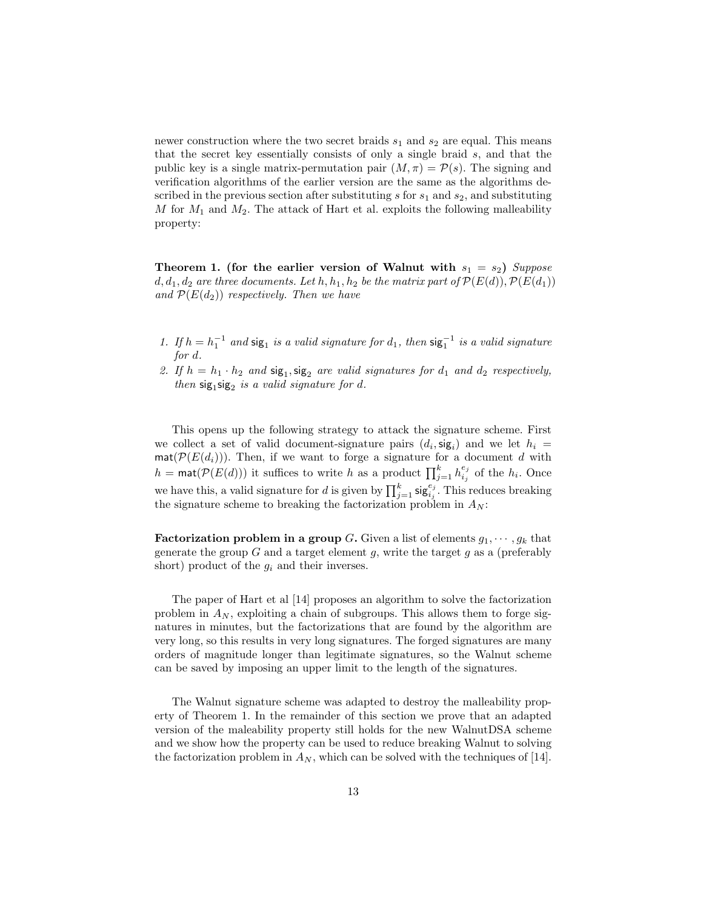newer construction where the two secret braids  $s_1$  and  $s_2$  are equal. This means that the secret key essentially consists of only a single braid s, and that the public key is a single matrix-permutation pair  $(M, \pi) = \mathcal{P}(s)$ . The signing and verification algorithms of the earlier version are the same as the algorithms described in the previous section after substituting  $s$  for  $s_1$  and  $s_2$ , and substituting M for  $M_1$  and  $M_2$ . The attack of Hart et al. exploits the following malleability property:

Theorem 1. (for the earlier version of Walnut with  $s_1 = s_2$ ) Suppose  $d, d_1, d_2$  are three documents. Let  $h, h_1, h_2$  be the matrix part of  $\mathcal{P}(E(d)), \mathcal{P}(E(d_1))$ and  $\mathcal{P}(E(d_2))$  respectively. Then we have

- 1. If  $h = h_1^{-1}$  and  $\text{sig}_1$  is a valid signature for  $d_1$ , then  $\text{sig}_1^{-1}$  is a valid signature for d.
- 2. If  $h = h_1 \cdot h_2$  and  $\text{sig}_1, \text{sig}_2$  are valid signatures for  $d_1$  and  $d_2$  respectively, then  $\text{sig}_1 \text{sig}_2$  is a valid signature for d.

This opens up the following strategy to attack the signature scheme. First we collect a set of valid document-signature pairs  $(d_i, \mathsf{sig}_i)$  and we let  $h_i =$  $\textsf{mat}(\mathcal{P}(E(d_i)))$ . Then, if we want to forge a signature for a document d with  $h = \text{mat}(\mathcal{P}(E(d)))$  it suffices to write h as a product  $\prod_{j=1}^{k} h_{i_j}^{e_j}$  $i_j^{e_j}$  of the  $h_i$ . Once we have this, a valid signature for d is given by  $\prod_{j=1}^k \mathsf{sig}_{i_j}^{e_j}$ . This reduces breaking the signature scheme to breaking the factorization problem in  $A_N$ :

**Factorization problem in a group G.** Given a list of elements  $g_1, \dots, g_k$  that generate the group  $G$  and a target element  $g$ , write the target  $g$  as a (preferably short) product of the  $g_i$  and their inverses.

The paper of Hart et al [14] proposes an algorithm to solve the factorization problem in  $A_N$ , exploiting a chain of subgroups. This allows them to forge signatures in minutes, but the factorizations that are found by the algorithm are very long, so this results in very long signatures. The forged signatures are many orders of magnitude longer than legitimate signatures, so the Walnut scheme can be saved by imposing an upper limit to the length of the signatures.

The Walnut signature scheme was adapted to destroy the malleability property of Theorem 1. In the remainder of this section we prove that an adapted version of the maleability property still holds for the new WalnutDSA scheme and we show how the property can be used to reduce breaking Walnut to solving the factorization problem in  $A_N$ , which can be solved with the techniques of [14].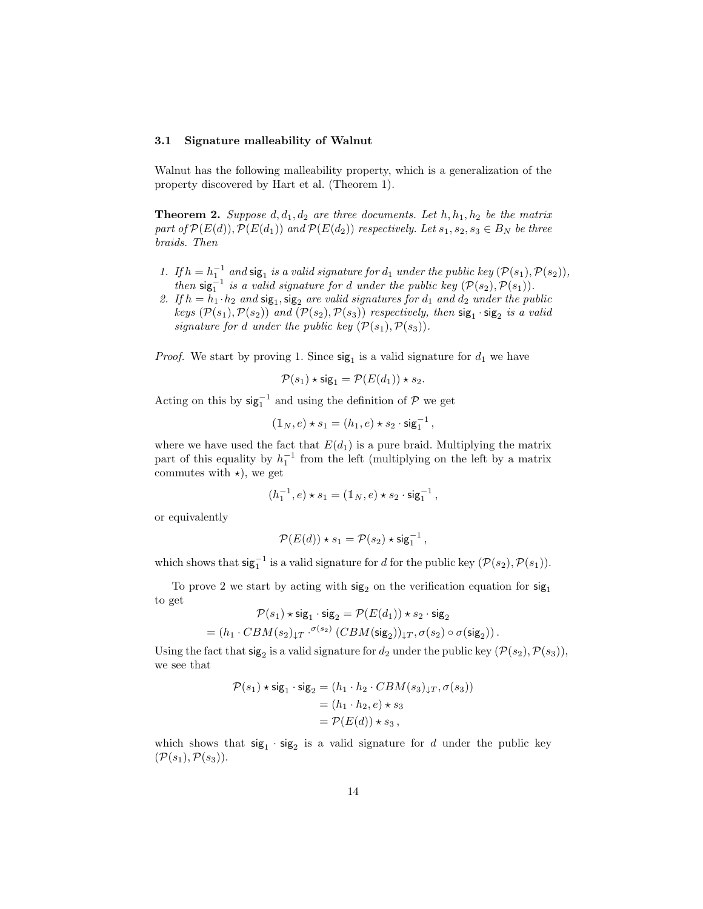#### 3.1 Signature malleability of Walnut

Walnut has the following malleability property, which is a generalization of the property discovered by Hart et al. (Theorem 1).

**Theorem 2.** Suppose  $d, d_1, d_2$  are three documents. Let  $h, h_1, h_2$  be the matrix part of  $\mathcal{P}(E(d)), \mathcal{P}(E(d_1))$  and  $\mathcal{P}(E(d_2))$  respectively. Let  $s_1, s_2, s_3 \in B_N$  be three braids. Then

- 1. If  $h = h_1^{-1}$  and  $\text{sig}_1$  is a valid signature for  $d_1$  under the public key  $(\mathcal{P}(s_1), \mathcal{P}(s_2))$ , then  $\mathsf{sig}_1^{-1}$  is a valid signature for d under the public key  $(\mathcal{P}(s_2), \mathcal{P}(s_1))$ .
- 2. If  $h = h_1 \cdot h_2$  and  $\text{sig}_1, \text{sig}_2$  are valid signatures for  $d_1$  and  $d_2$  under the public keys  $(\mathcal{P}(s_1), \mathcal{P}(s_2))$  and  $(\mathcal{P}(s_2), \mathcal{P}(s_3))$  respectively, then  $\textsf{sig}_1 \cdot \textsf{sig}_2$  is a valid signature for d under the public key  $(\mathcal{P}(s_1), \mathcal{P}(s_3))$ .

*Proof.* We start by proving 1. Since  $sig_1$  is a valid signature for  $d_1$  we have

$$
\mathcal{P}(s_1) \star \mathsf{sig}_1 = \mathcal{P}(E(d_1)) \star s_2.
$$

Acting on this by  $\mathsf{sig}_1^{-1}$  and using the definition of  $\mathcal P$  we get

$$
(\mathbb{1}_N, e) \star s_1 = (h_1, e) \star s_2 \cdot \mathsf{sig}_1^{-1},
$$

where we have used the fact that  $E(d_1)$  is a pure braid. Multiplying the matrix part of this equality by  $h_1^{-1}$  from the left (multiplying on the left by a matrix commutes with  $\star$ ), we get

$$
(h_1^{-1}, e) \star s_1 = (\mathbb{1}_N, e) \star s_2 \cdot \mathsf{sig}_1^{-1}\,,
$$

or equivalently

$$
\mathcal{P}(E(d)) \star s_1 = \mathcal{P}(s_2) \star \mathsf{sig}_1^{-1},
$$

which shows that  $\text{sig}_1^{-1}$  is a valid signature for d for the public key  $(\mathcal{P}(s_2), \mathcal{P}(s_1))$ .

To prove 2 we start by acting with  $sig_2$  on the verification equation for  $sig_1$ to get

$$
\mathcal{P}(s_1) \star \mathsf{sig}_1 \cdot \mathsf{sig}_2 = \mathcal{P}(E(d_1)) \star s_2 \cdot \mathsf{sig}_2
$$

$$
= (h_1 \cdot CBM(s_2)_{\downarrow T} \cdot ^{\sigma(s_2)} (CBM(\mathsf{sig}_2))_{\downarrow T}, \sigma(s_2) \circ \sigma(\mathsf{sig}_2))\,.
$$

Using the fact that  $sig_2$  is a valid signature for  $d_2$  under the public key  $(\mathcal{P}(s_2), \mathcal{P}(s_3)),$ we see that

$$
\mathcal{P}(s_1) \star \text{sig}_1 \cdot \text{sig}_2 = (h_1 \cdot h_2 \cdot CBM(s_3)_{\downarrow T}, \sigma(s_3))
$$
  
=  $(h_1 \cdot h_2, e) \star s_3$   
=  $\mathcal{P}(E(d)) \star s_3$ ,

which shows that  $sig_1 \cdot sig_2$  is a valid signature for d under the public key  $(\mathcal{P}(s_1), \mathcal{P}(s_3)).$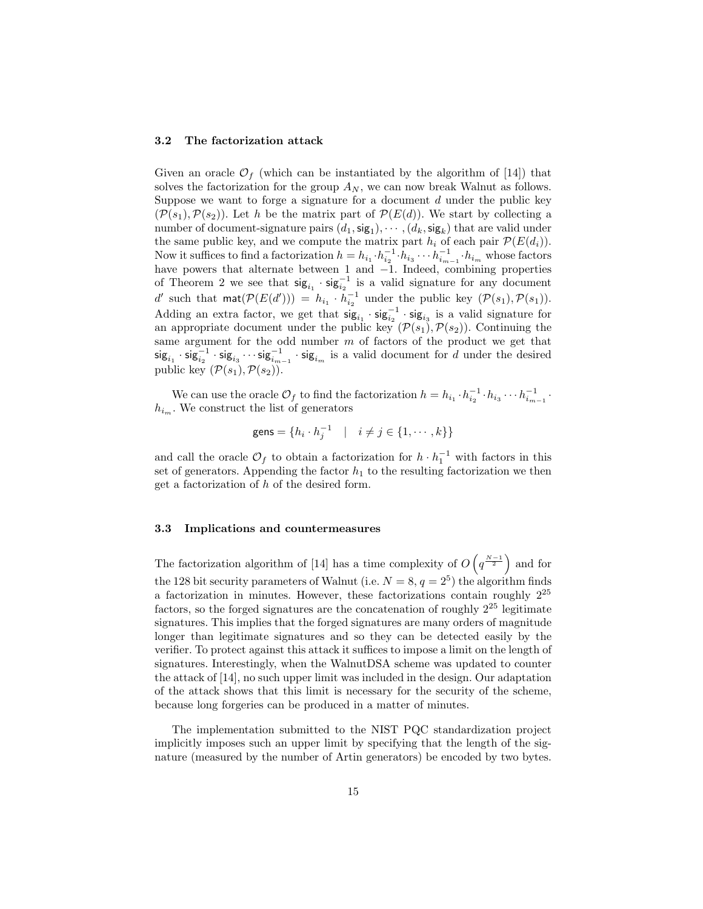#### 3.2 The factorization attack

Given an oracle  $\mathcal{O}_f$  (which can be instantiated by the algorithm of [14]) that solves the factorization for the group  $A_N$ , we can now break Walnut as follows. Suppose we want to forge a signature for a document  $d$  under the public key  $(\mathcal{P}(s_1), \mathcal{P}(s_2))$ . Let h be the matrix part of  $\mathcal{P}(E(d))$ . We start by collecting a number of document-signature pairs  $(d_1, \text{sig}_1), \cdots, (d_k, \text{sig}_k)$  that are valid under the same public key, and we compute the matrix part  $h_i$  of each pair  $\mathcal{P}(E(d_i))$ . Now it suffices to find a factorization  $h = h_{i_1} \cdot h_{i_2}^{-1} \cdot h_{i_3} \cdots h_{i_{m-1}}^{-1} \cdot h_{i_m}$  whose factors have powers that alternate between 1 and  $-1$ . Indeed, combining properties of Theorem 2 we see that  $sig_{i_1} \cdot sig_{i_2}^{-1}$  is a valid signature for any document d' such that  $\textsf{mat}(\mathcal{P}(E(d'))) = h_{i_1} \cdot \overline{h_{i_2}^{-1}}$  under the public key  $(\mathcal{P}(s_1), \mathcal{P}(s_1))$ . Adding an extra factor, we get that  $sig_{i_1} \cdot sig_{i_2}^{-1} \cdot sig_{i_3}$  is a valid signature for an appropriate document under the public key  $(\mathcal{P}(s_1), \mathcal{P}(s_2))$ . Continuing the same argument for the odd number  $m$  of factors of the product we get that  $\mathsf{sig}_{i_1} \cdot \mathsf{sig}_{i_2}^{-1} \cdot \mathsf{sig}_{i_3} \cdots \mathsf{sig}_{i_{m-1}} \cdot \mathsf{sig}_{i_m}$  is a valid document for  $d$  under the desired public key  $(\mathcal{P}(s_1), \mathcal{P}(s_2))$ .

We can use the oracle  $\mathcal{O}_f$  to find the factorization  $h = h_{i_1} \cdot h_{i_2}^{-1} \cdot h_{i_3} \cdots h_{i_{m-1}}^{-1}$ .  $h_{i_m}$ . We construct the list of generators

$$
\textsf{gens} = \{ h_i \cdot h_j^{-1} \quad | \quad i \neq j \in \{1, \cdots, k\} \}
$$

and call the oracle  $\mathcal{O}_f$  to obtain a factorization for  $h \cdot h_1^{-1}$  with factors in this set of generators. Appending the factor  $h_1$  to the resulting factorization we then get a factorization of h of the desired form.

### 3.3 Implications and countermeasures

The factorization algorithm of [14] has a time complexity of  $O(q^{\frac{N-1}{2}})$  and for the 128 bit security parameters of Walnut (i.e.  $N = 8, q = 2<sup>5</sup>$ ) the algorithm finds a factorization in minutes. However, these factorizations contain roughly  $2^{25}$ factors, so the forged signatures are the concatenation of roughly  $2^{25}$  legitimate signatures. This implies that the forged signatures are many orders of magnitude longer than legitimate signatures and so they can be detected easily by the verifier. To protect against this attack it suffices to impose a limit on the length of signatures. Interestingly, when the WalnutDSA scheme was updated to counter the attack of [14], no such upper limit was included in the design. Our adaptation of the attack shows that this limit is necessary for the security of the scheme, because long forgeries can be produced in a matter of minutes.

The implementation submitted to the NIST PQC standardization project implicitly imposes such an upper limit by specifying that the length of the signature (measured by the number of Artin generators) be encoded by two bytes.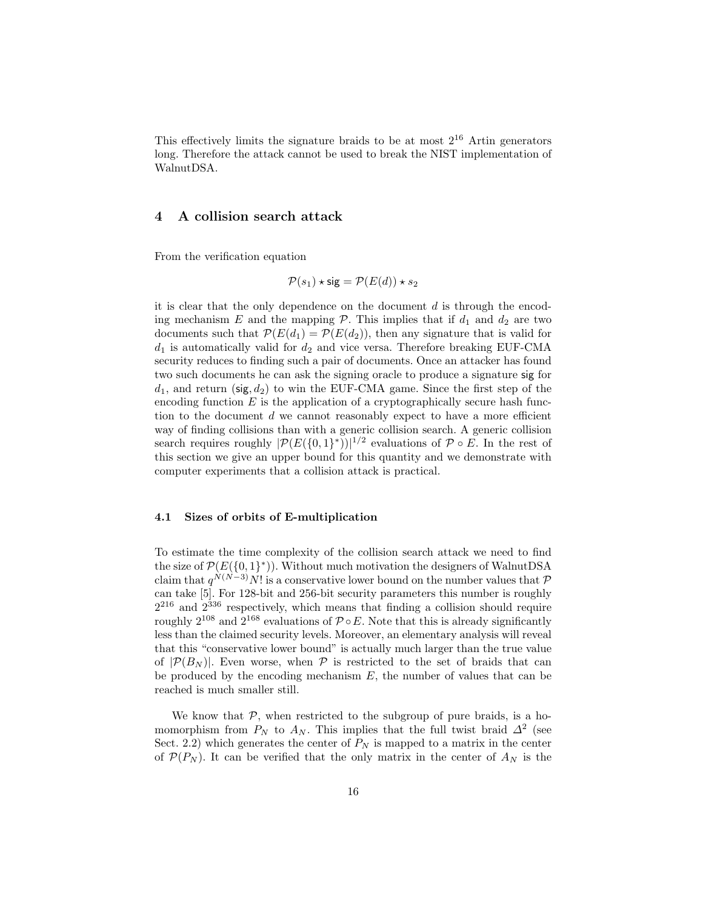This effectively limits the signature braids to be at most  $2^{16}$  Artin generators long. Therefore the attack cannot be used to break the NIST implementation of WalnutDSA.

## 4 A collision search attack

From the verification equation

$$
\mathcal{P}(s_1)\star \mathrm{sig}=\mathcal{P}(E(d))\star s_2
$$

it is clear that the only dependence on the document  $d$  is through the encoding mechanism E and the mapping P. This implies that if  $d_1$  and  $d_2$  are two documents such that  $\mathcal{P}(E(d_1) = \mathcal{P}(E(d_2))$ , then any signature that is valid for  $d_1$  is automatically valid for  $d_2$  and vice versa. Therefore breaking EUF-CMA security reduces to finding such a pair of documents. Once an attacker has found two such documents he can ask the signing oracle to produce a signature sig for  $d_1$ , and return (sig,  $d_2$ ) to win the EUF-CMA game. Since the first step of the encoding function  $E$  is the application of a cryptographically secure hash function to the document  $d$  we cannot reasonably expect to have a more efficient way of finding collisions than with a generic collision search. A generic collision search requires roughly  $\mathcal{P}(E(\{0,1\}^*))^{\frac{1}{2}}$  evaluations of  $\mathcal{P} \circ E$ . In the rest of this section we give an upper bound for this quantity and we demonstrate with computer experiments that a collision attack is practical.

## 4.1 Sizes of orbits of E-multiplication

To estimate the time complexity of the collision search attack we need to find the size of  $\mathcal{P}(E(\{0,1\}^*))$ . Without much motivation the designers of WalnutDSA claim that  $q^{N(N-3)}N!$  is a conservative lower bound on the number values that  $P$ can take [5]. For 128-bit and 256-bit security parameters this number is roughly  $2^{216}$  and  $2^{336}$  respectively, which means that finding a collision should require roughly  $2^{108}$  and  $2^{168}$  evaluations of  $\mathcal{P} \circ E$ . Note that this is already significantly less than the claimed security levels. Moreover, an elementary analysis will reveal that this "conservative lower bound" is actually much larger than the true value of  $|\mathcal{P}(B_N)|$ . Even worse, when P is restricted to the set of braids that can be produced by the encoding mechanism  $E$ , the number of values that can be reached is much smaller still.

We know that  $P$ , when restricted to the subgroup of pure braids, is a homomorphism from  $P_N$  to  $A_N$ . This implies that the full twist braid  $\Delta^2$  (see Sect. 2.2) which generates the center of  $P_N$  is mapped to a matrix in the center of  $\mathcal{P}(P_N)$ . It can be verified that the only matrix in the center of  $A_N$  is the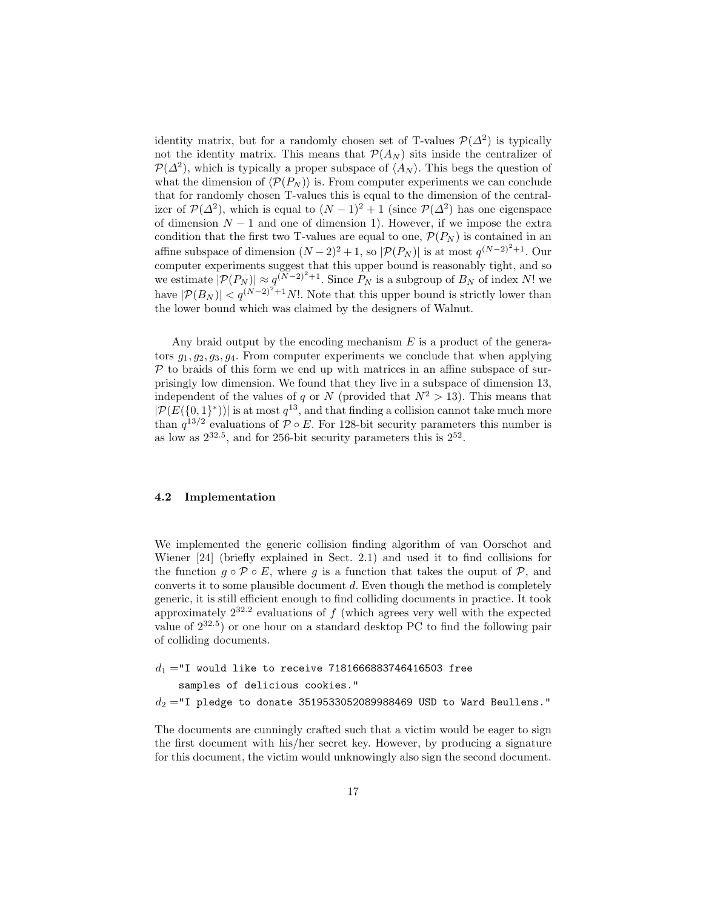identity matrix, but for a randomly chosen set of T-values  $\mathcal{P}(\Delta^2)$  is typically not the identity matrix. This means that  $\mathcal{P}(A_N)$  sits inside the centralizer of  $\mathcal{P}(\Delta^2)$ , which is typically a proper subspace of  $\langle A_N \rangle$ . This begs the question of what the dimension of  $\langle \mathcal{P}(P_N ) \rangle$  is. From computer experiments we can conclude that for randomly chosen T-values this is equal to the dimension of the centralizer of  $\mathcal{P}(\Delta^2)$ , which is equal to  $(N-1)^2 + 1$  (since  $\mathcal{P}(\Delta^2)$ ) has one eigenspace of dimension  $N-1$  and one of dimension 1). However, if we impose the extra condition that the first two T-values are equal to one,  $\mathcal{P}(P_N)$  is contained in an affine subspace of dimension  $(N-2)^2 + 1$ , so  $|\mathcal{P}(P_N)|$  is at most  $q^{(N-2)^2+1}$ . Our computer experiments suggest that this upper bound is reasonably tight, and so we estimate  $|\mathcal{P}(P_N)| \approx q^{(N-2)^2+1}$ . Since  $P_N$  is a subgroup of  $B_N$  of index N! we have  $|\mathcal{P}(B_N)| < q^{(N-2)^2+1}N!$ . Note that this upper bound is strictly lower than the lower bound which was claimed by the designers of Walnut.

Any braid output by the encoding mechanism  $E$  is a product of the generators  $g_1, g_2, g_3, g_4$ . From computer experiments we conclude that when applying  $P$  to braids of this form we end up with matrices in an affine subspace of surprisingly low dimension. We found that they live in a subspace of dimension 13, independent of the values of q or N (provided that  $N^2 > 13$ ). This means that  $|\mathcal{P}(E(\{0,1\}^*))|$  is at most  $q^{13}$ , and that finding a collision cannot take much more than  $q^{13/2}$  evaluations of  $P \circ E$ . For 128-bit security parameters this number is as low as  $2^{32.5}$ , and for 256-bit security parameters this is  $2^{52}$ .

#### 4.2 Implementation

We implemented the generic collision finding algorithm of van Oorschot and Wiener [24] (briefly explained in Sect. 2.1) and used it to find collisions for the function  $g \circ \mathcal{P} \circ E$ , where g is a function that takes the ouput of  $\mathcal{P}$ , and converts it to some plausible document  $d$ . Even though the method is completely generic, it is still efficient enough to find colliding documents in practice. It took approximately  $2^{32.2}$  evaluations of f (which agrees very well with the expected value of 2<sup>32</sup>.<sup>5</sup> ) or one hour on a standard desktop PC to find the following pair of colliding documents.

```
d_1 = "I would like to receive 7181666883746416503 free
    samples of delicious cookies."
d_2 = "I pledge to donate 3519533052089988469 USD to Ward Beullens."
```
The documents are cunningly crafted such that a victim would be eager to sign the first document with his/her secret key. However, by producing a signature for this document, the victim would unknowingly also sign the second document.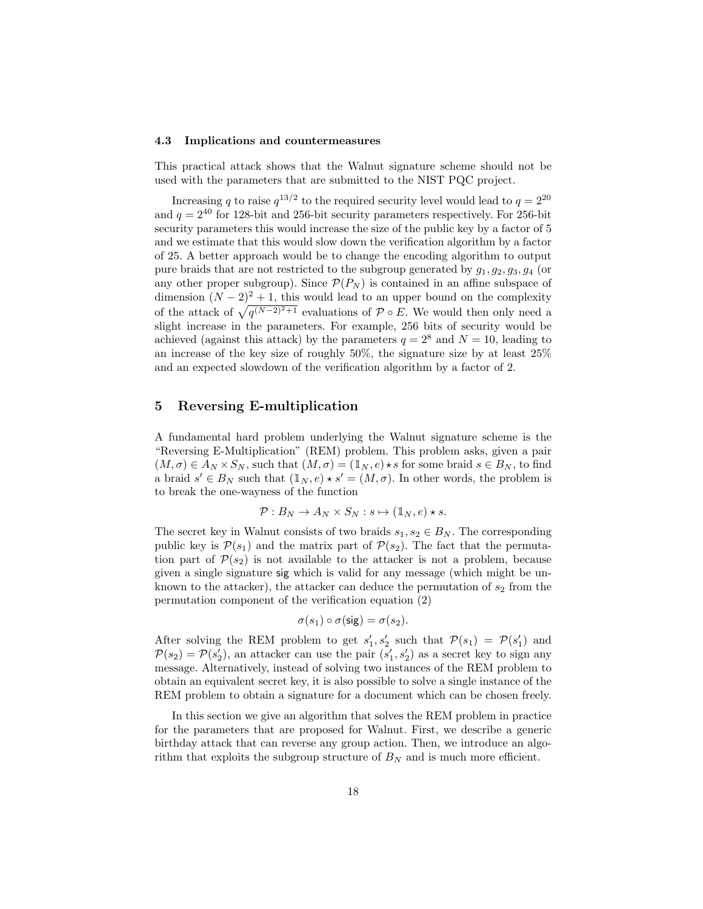#### 4.3 Implications and countermeasures

This practical attack shows that the Walnut signature scheme should not be used with the parameters that are submitted to the NIST PQC project.

Increasing q to raise  $q^{13/2}$  to the required security level would lead to  $q = 2^{20}$ and  $q = 2^{40}$  for 128-bit and 256-bit security parameters respectively. For 256-bit security parameters this would increase the size of the public key by a factor of 5 and we estimate that this would slow down the verification algorithm by a factor of 25. A better approach would be to change the encoding algorithm to output pure braids that are not restricted to the subgroup generated by  $g_1, g_2, g_3, g_4$  (or any other proper subgroup). Since  $\mathcal{P}(P_N)$  is contained in an affine subspace of dimension  $(N-2)^2 + 1$ , this would lead to an upper bound on the complexity of the attack of  $\sqrt{q^{(N-2)^2+1}}$  evaluations of P ∘ E. We would then only need a slight increase in the parameters. For example, 256 bits of security would be achieved (against this attack) by the parameters  $q = 2^8$  and  $N = 10$ , leading to an increase of the key size of roughly 50%, the signature size by at least 25% and an expected slowdown of the verification algorithm by a factor of 2.

## 5 Reversing E-multiplication

A fundamental hard problem underlying the Walnut signature scheme is the "Reversing E-Multiplication" (REM) problem. This problem asks, given a pair  $(M, \sigma) \in A_N \times S_N$ , such that  $(M, \sigma) = (\mathbb{1}_N, e) \star s$  for some braid  $s \in B_N$ , to find a braid  $s' \in B_N$  such that  $(1_N, e) \star s' = (M, \sigma)$ . In other words, the problem is to break the one-wayness of the function

$$
\mathcal{P}: B_N \to A_N \times S_N : s \mapsto (\mathbb{1}_N, e) \star s.
$$

The secret key in Walnut consists of two braids  $s_1, s_2 \in B_N$ . The corresponding public key is  $\mathcal{P}(s_1)$  and the matrix part of  $\mathcal{P}(s_2)$ . The fact that the permutation part of  $\mathcal{P}(s_2)$  is not available to the attacker is not a problem, because given a single signature sig which is valid for any message (which might be unknown to the attacker), the attacker can deduce the permutation of  $s_2$  from the permutation component of the verification equation (2)

$$
\sigma(s_1) \circ \sigma(\mathsf{sig}) = \sigma(s_2).
$$

After solving the REM problem to get  $s'_1, s'_2$  such that  $\mathcal{P}(s_1) = \mathcal{P}(s'_1)$  and  $\mathcal{P}(s_2) = \mathcal{P}(s_2')$ , an attacker can use the pair  $(s_1', s_2')$  as a secret key to sign any message. Alternatively, instead of solving two instances of the REM problem to obtain an equivalent secret key, it is also possible to solve a single instance of the REM problem to obtain a signature for a document which can be chosen freely.

In this section we give an algorithm that solves the REM problem in practice for the parameters that are proposed for Walnut. First, we describe a generic birthday attack that can reverse any group action. Then, we introduce an algorithm that exploits the subgroup structure of  $B_N$  and is much more efficient.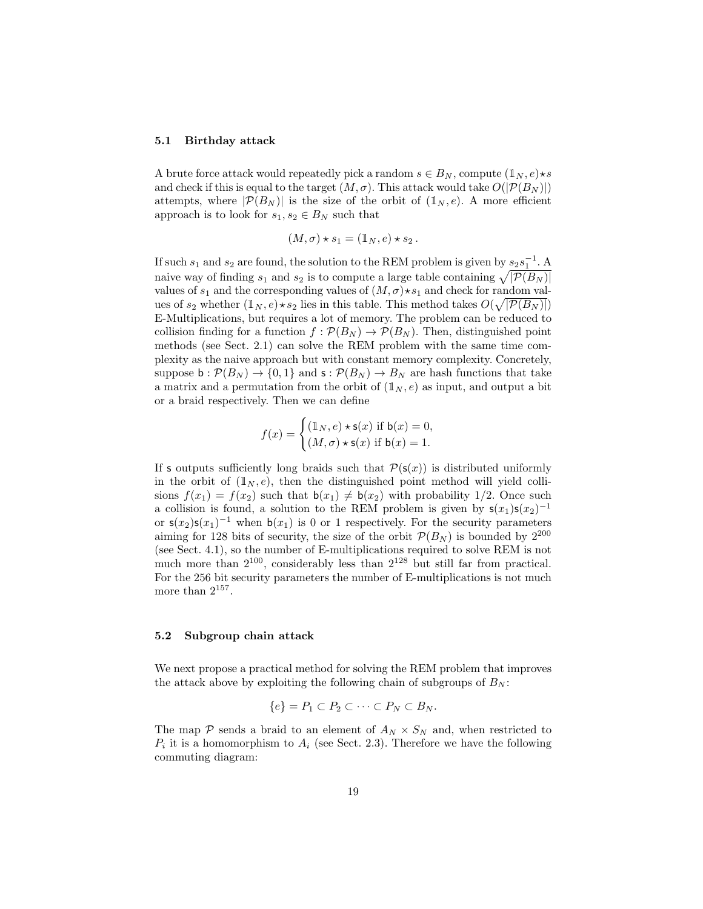#### 5.1 Birthday attack

A brute force attack would repeatedly pick a random  $s \in B_N$ , compute  $(1_N, e) \star s$ and check if this is equal to the target  $(M, \sigma)$ . This attack would take  $O(|\mathcal{P}(B_N)|)$ attempts, where  $|\mathcal{P}(B_N)|$  is the size of the orbit of  $(1_N, e)$ . A more efficient approach is to look for  $s_1, s_2 \in B_N$  such that

$$
(M,\sigma)\star s_1=(1\,\mathrm{I}_N,e)\star s_2.
$$

If such  $s_1$  and  $s_2$  are found, the solution to the REM problem is given by  $s_2s_1^{-1}$ . A naive way of finding  $s_1$  and  $s_2$  is to compute a large table containing  $\sqrt{|P(B_N)|}$ values of  $s_1$  and the corresponding values of  $(M, \sigma) \star s_1$  and check for random values of  $s_2$  whether  $(1_N, e) \star s_2$  lies in this table. This method takes  $O(\sqrt{|\mathcal{P}(B_N)|})$ E-Multiplications, but requires a lot of memory. The problem can be reduced to collision finding for a function  $f : \mathcal{P}(B_N) \to \mathcal{P}(B_N)$ . Then, distinguished point methods (see Sect. 2.1) can solve the REM problem with the same time complexity as the naive approach but with constant memory complexity. Concretely, suppose  $\mathsf{b} : \mathcal{P}(B_N) \to \{0,1\}$  and  $\mathsf{s} : \mathcal{P}(B_N) \to B_N$  are hash functions that take a matrix and a permutation from the orbit of  $(1_N, e)$  as input, and output a bit or a braid respectively. Then we can define

$$
f(x) = \begin{cases} (\mathbb{1}_N, e) \star \mathsf{s}(x) \text{ if } \mathsf{b}(x) = 0, \\ (M, \sigma) \star \mathsf{s}(x) \text{ if } \mathsf{b}(x) = 1. \end{cases}
$$

If s outputs sufficiently long braids such that  $\mathcal{P}(s(x))$  is distributed uniformly in the orbit of  $(1_N, e)$ , then the distinguished point method will yield collisions  $f(x_1) = f(x_2)$  such that  $b(x_1) \neq b(x_2)$  with probability 1/2. Once such a collision is found, a solution to the REM problem is given by  $s(x_1) s(x_2)^{-1}$ or  $\mathsf{s}(x_2)\mathsf{s}(x_1)^{-1}$  when  $\mathsf{b}(x_1)$  is 0 or 1 respectively. For the security parameters aiming for 128 bits of security, the size of the orbit  $\mathcal{P}(B_N)$  is bounded by  $2^{200}$ (see Sect. 4.1), so the number of E-multiplications required to solve REM is not much more than  $2^{100}$ , considerably less than  $2^{128}$  but still far from practical. For the 256 bit security parameters the number of E-multiplications is not much more than  $2^{157}$ .

#### 5.2 Subgroup chain attack

We next propose a practical method for solving the REM problem that improves the attack above by exploiting the following chain of subgroups of  $B_N$ :

$$
\{e\} = P_1 \subset P_2 \subset \cdots \subset P_N \subset B_N.
$$

The map  $P$  sends a braid to an element of  $A_N \times S_N$  and, when restricted to  $P_i$  it is a homomorphism to  $A_i$  (see Sect. 2.3). Therefore we have the following commuting diagram: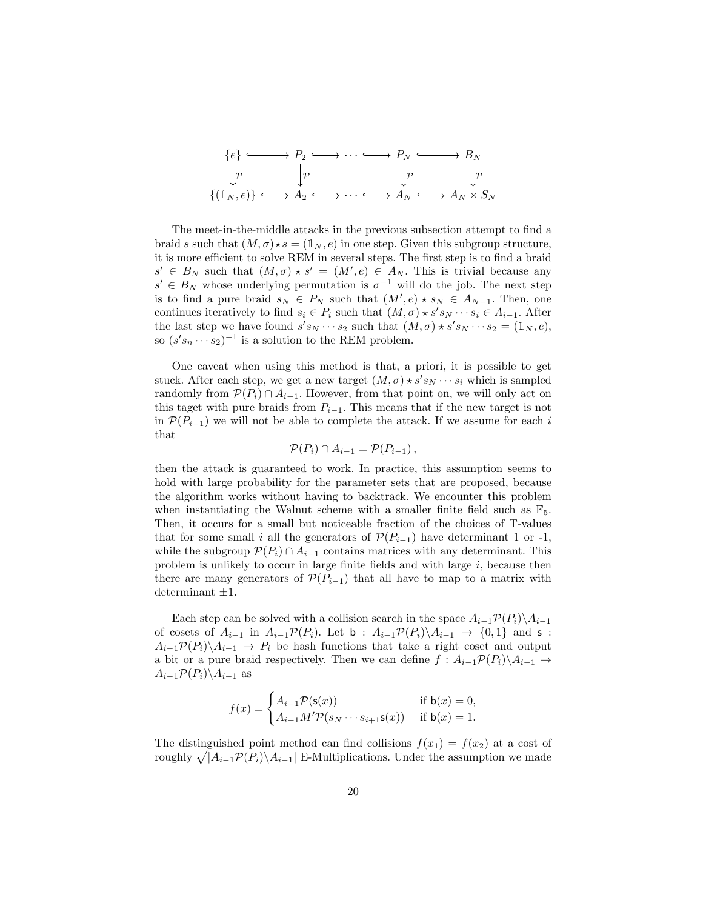$$
\{e\} \xrightarrow{\hspace{1cm}} P_2 \xrightarrow{\hspace{1cm}} \cdots \xrightarrow{\hspace{1cm}} P_N \xrightarrow{\hspace{1cm}} B_N
$$
  

$$
\downarrow_{\mathcal{P}} \qquad \qquad \downarrow_{\mathcal{P}} \qquad \qquad \downarrow_{\mathcal{P}} \qquad \qquad \downarrow_{\mathcal{P}} \qquad \qquad \downarrow_{\mathcal{P}} \qquad \qquad \downarrow_{\mathcal{P}} \qquad \qquad \downarrow_{\mathcal{P}} \qquad \qquad \downarrow_{\mathcal{P}} \qquad \qquad \downarrow_{\mathcal{P}} \qquad \qquad \downarrow_{\mathcal{P}} \qquad \qquad \downarrow_{\mathcal{P}} \qquad \qquad \downarrow_{\mathcal{P}} \qquad \qquad \downarrow_{\mathcal{P}} \qquad \qquad \downarrow_{\mathcal{P}} \qquad \qquad \downarrow_{\mathcal{P}} \qquad \qquad \downarrow_{\mathcal{P}} \qquad \qquad \downarrow_{\mathcal{P}} \qquad \qquad \downarrow_{\mathcal{P}} \qquad \qquad \downarrow_{\mathcal{P}} \qquad \qquad \downarrow_{\mathcal{P}} \qquad \qquad \downarrow_{\mathcal{P}} \qquad \qquad \downarrow_{\mathcal{P}} \qquad \qquad \downarrow_{\mathcal{P}} \qquad \qquad \downarrow_{\mathcal{P}} \qquad \qquad \downarrow_{\mathcal{P}} \qquad \qquad \downarrow_{\mathcal{P}} \qquad \qquad \downarrow_{\mathcal{P}} \qquad \qquad \downarrow_{\mathcal{P}} \qquad \qquad \downarrow_{\mathcal{P}} \qquad \qquad \downarrow_{\mathcal{P}} \qquad \qquad \downarrow_{\mathcal{P}} \qquad \qquad \downarrow_{\mathcal{P}} \qquad \qquad \downarrow_{\mathcal{P}} \qquad \qquad \downarrow_{\mathcal{P}} \qquad \qquad \downarrow_{\mathcal{P}} \qquad \qquad \downarrow_{\mathcal{P}} \qquad \qquad \downarrow_{\mathcal{P}} \qquad \qquad \downarrow_{\mathcal{P}} \qquad \qquad \downarrow_{\mathcal{P}} \qquad \qquad \downarrow_{\mathcal{P}} \qquad \qquad \downarrow_{\mathcal{P}} \qquad \qquad \downarrow_{\mathcal{P}} \qquad \qquad \downarrow_{\mathcal{P}} \qquad \qquad \downarrow_{\mathcal{
$$

The meet-in-the-middle attacks in the previous subsection attempt to find a braid s such that  $(M, \sigma) \star s = (\mathbb{1}_N, e)$  in one step. Given this subgroup structure, it is more efficient to solve REM in several steps. The first step is to find a braid  $s' \in B_N$  such that  $(M, \sigma) * s' = (M', e) \in A_N$ . This is trivial because any  $s' \in B_N$  whose underlying permutation is  $\sigma^{-1}$  will do the job. The next step is to find a pure braid  $s_N \in P_N$  such that  $(M', e) \star s_N \in A_{N-1}$ . Then, one continues iteratively to find  $s_i \in P_i$  such that  $(M, \sigma) \star s's_N \cdots s_i \in A_{i-1}$ . After the last step we have found  $s's_N \cdots s_2$  such that  $(M, \sigma) \star s's_N \cdots s_2 = (\mathbb{1}_N, e),$ so  $(s's_n \cdots s_2)^{-1}$  is a solution to the REM problem.

One caveat when using this method is that, a priori, it is possible to get stuck. After each step, we get a new target  $(M, \sigma) \star s's_N \cdots s_i$  which is sampled randomly from  $\mathcal{P}(P_i) \cap A_{i-1}$ . However, from that point on, we will only act on this taget with pure braids from  $P_{i-1}$ . This means that if the new target is not in  $\mathcal{P}(P_{i-1})$  we will not be able to complete the attack. If we assume for each i that

$$
\mathcal{P}(P_i) \cap A_{i-1} = \mathcal{P}(P_{i-1}),
$$

then the attack is guaranteed to work. In practice, this assumption seems to hold with large probability for the parameter sets that are proposed, because the algorithm works without having to backtrack. We encounter this problem when instantiating the Walnut scheme with a smaller finite field such as  $\mathbb{F}_5$ . Then, it occurs for a small but noticeable fraction of the choices of T-values that for some small i all the generators of  $\mathcal{P}(P_{i-1})$  have determinant 1 or -1, while the subgroup  $\mathcal{P}(P_i) \cap A_{i-1}$  contains matrices with any determinant. This problem is unlikely to occur in large finite fields and with large  $i$ , because then there are many generators of  $\mathcal{P}(P_{i-1})$  that all have to map to a matrix with determinant  $\pm 1$ .

Each step can be solved with a collision search in the space  $A_{i-1}\mathcal{P}(P_i)\backslash A_{i-1}$ of cosets of  $A_{i-1}$  in  $A_{i-1}\mathcal{P}(P_i)$ . Let  $\mathbf{b}: A_{i-1}\mathcal{P}(P_i)\backslash A_{i-1} \rightarrow \{0,1\}$  and  $\mathbf{s}:$  $A_{i-1}\mathcal{P}(P_i)\backslash A_{i-1} \to P_i$  be hash functions that take a right coset and output a bit or a pure braid respectively. Then we can define  $f : A_{i-1} \mathcal{P}(P_i) \backslash A_{i-1} \rightarrow$  $A_{i-1} \mathcal{P}(P_i) \backslash A_{i-1}$  as

$$
f(x) = \begin{cases} A_{i-1} \mathcal{P}(\mathsf{s}(x)) & \text{if } \mathsf{b}(x) = 0, \\ A_{i-1} M' \mathcal{P}(s_N \cdots s_{i+1} \mathsf{s}(x)) & \text{if } \mathsf{b}(x) = 1. \end{cases}
$$

The distinguished point method can find collisions  $f(x_1) = f(x_2)$  at a cost of roughly  $\sqrt{|A_{i-1}\mathcal{P}(P_i)\setminus A_{i-1}|}$  E-Multiplications. Under the assumption we made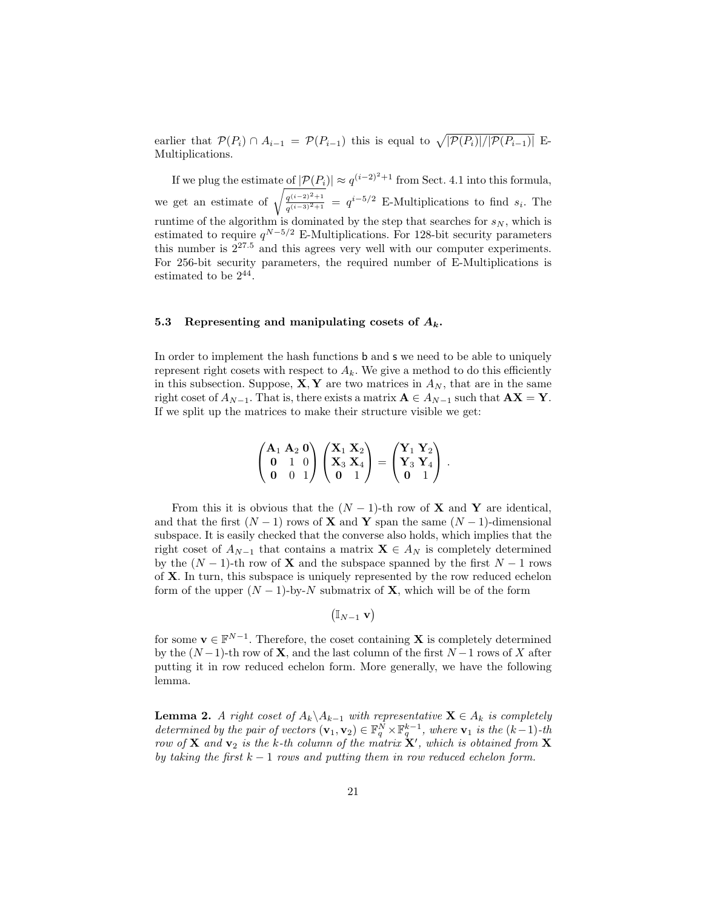earlier that  $\mathcal{P}(P_i) \cap A_{i-1} = \mathcal{P}(P_{i-1})$  this is equal to  $\sqrt{|\mathcal{P}(P_i)|/|\mathcal{P}(P_{i-1})|}$  E-Multiplications.

If we plug the estimate of  $|\mathcal{P}(P_i)| \approx q^{(i-2)^2+1}$  from Sect. 4.1 into this formula, we get an estimate of  $\sqrt{\frac{q^{(i-2)^2+1}}{q^{(i-3)^2+1}}}$  $q^{(i-2)^2+1} \over q^{(i-3)^2+1} = q^{i-5/2}$  E-Multiplications to find  $s_i$ . The runtime of the algorithm is dominated by the step that searches for  $s_N$ , which is estimated to require  $q^{N-5/2}$  E-Multiplications. For 128-bit security parameters this number is  $2^{27.5}$  and this agrees very well with our computer experiments. For 256-bit security parameters, the required number of E-Multiplications is estimated to be 2<sup>44</sup> .

## 5.3 Representing and manipulating cosets of  $A_k$ .

In order to implement the hash functions b and s we need to be able to uniquely represent right cosets with respect to  $A_k$ . We give a method to do this efficiently in this subsection. Suppose,  $X, Y$  are two matrices in  $A_N$ , that are in the same right coset of  $A_{N-1}$ . That is, there exists a matrix  $\mathbf{A} \in A_{N-1}$  such that  $\mathbf{A}\mathbf{X} = \mathbf{Y}$ . If we split up the matrices to make their structure visible we get:

$$
\begin{pmatrix}\n\mathbf{A}_1 & \mathbf{A}_2 & \mathbf{0} \\
\mathbf{0} & 1 & 0 \\
\mathbf{0} & 0 & 1\n\end{pmatrix}\n\begin{pmatrix}\n\mathbf{X}_1 & \mathbf{X}_2 \\
\mathbf{X}_3 & \mathbf{X}_4 \\
\mathbf{0} & 1\n\end{pmatrix} = \begin{pmatrix}\n\mathbf{Y}_1 & \mathbf{Y}_2 \\
\mathbf{Y}_3 & \mathbf{Y}_4 \\
\mathbf{0} & 1\n\end{pmatrix}.
$$

From this it is obvious that the  $(N-1)$ -th row of **X** and **Y** are identical, and that the first  $(N-1)$  rows of **X** and **Y** span the same  $(N-1)$ -dimensional subspace. It is easily checked that the converse also holds, which implies that the right coset of  $A_{N-1}$  that contains a matrix  $\mathbf{X} \in A_N$  is completely determined by the  $(N-1)$ -th row of **X** and the subspace spanned by the first  $N-1$  rows of X. In turn, this subspace is uniquely represented by the row reduced echelon form of the upper  $(N-1)$ -by-N submatrix of **X**, which will be of the form

$$
\left(\mathbb{I}_{N-1}\;\mathbf{v}\right)
$$

for some  $\mathbf{v} \in \mathbb{F}^{N-1}$ . Therefore, the coset containing **X** is completely determined by the  $(N-1)$ -th row of **X**, and the last column of the first  $N-1$  rows of X after putting it in row reduced echelon form. More generally, we have the following lemma.

**Lemma 2.** A right coset of  $A_k \setminus A_{k-1}$  with representative  $\mathbf{X} \in A_k$  is completely determined by the pair of vectors  $(\mathbf{v}_1, \mathbf{v}_2) \in \mathbb{F}_q^N \times \mathbb{F}_q^{k-1}$ , where  $\mathbf{v}_1$  is the  $(k-1)$ -th row of **X** and  $v_2$  is the k-th column of the matrix  $X'$ , which is obtained from **X** by taking the first  $k - 1$  rows and putting them in row reduced echelon form.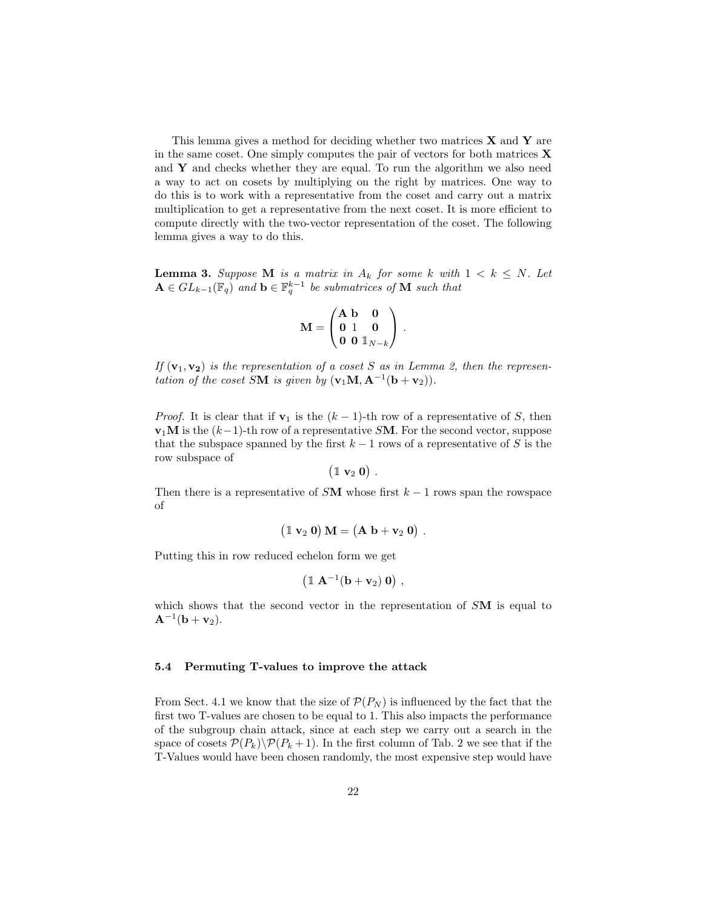This lemma gives a method for deciding whether two matrices  $X$  and  $Y$  are in the same coset. One simply computes the pair of vectors for both matrices  $\bf{X}$ and  $\mathbf Y$  and checks whether they are equal. To run the algorithm we also need a way to act on cosets by multiplying on the right by matrices. One way to do this is to work with a representative from the coset and carry out a matrix multiplication to get a representative from the next coset. It is more efficient to compute directly with the two-vector representation of the coset. The following lemma gives a way to do this.

**Lemma 3.** Suppose **M** is a matrix in  $A_k$  for some k with  $1 < k \leq N$ . Let  $\mathbf{A} \in GL_{k-1}(\mathbb{F}_q)$  and  $\mathbf{b} \in \mathbb{F}_q^{k-1}$  be submatrices of  $\mathbf{M}$  such that

$$
\mathbf{M} = \begin{pmatrix} \mathbf{A} & \mathbf{b} & \mathbf{0} \\ \mathbf{0} & 1 & \mathbf{0} \\ \mathbf{0} & \mathbf{0} & \mathbb{1}_{N-k} \end{pmatrix}.
$$

If  $(v_1, v_2)$  is the representation of a coset S as in Lemma 2, then the representation of the coset SM is given by  $(\mathbf{v}_1 \mathbf{M}, \mathbf{A}^{-1}(\mathbf{b} + \mathbf{v}_2)).$ 

*Proof.* It is clear that if  $v_1$  is the  $(k-1)$ -th row of a representative of S, then  $v_1M$  is the  $(k-1)$ -th row of a representative SM. For the second vector, suppose that the subspace spanned by the first  $k-1$  rows of a representative of S is the row subspace of

$$
(\mathbb{1} \mathbf{v}_2 \mathbf{0}) \ .
$$

Then there is a representative of  $S\mathbf{M}$  whose first  $k-1$  rows span the rowspace of

$$
(\mathbb{1} \mathbf{v}_2 \mathbf{0}) \mathbf{M} = (\mathbf{A} \mathbf{b} + \mathbf{v}_2 \mathbf{0}) \ .
$$

Putting this in row reduced echelon form we get

$$
\left( \mathbb{1} \; {\bf A}^{-1}({\bf b}+{\bf v}_2) \; {\bf 0} \right) \, ,
$$

which shows that the second vector in the representation of  $S\mathbf{M}$  is equal to  ${\bf A}^{-1}({\bf b}+{\bf v}_2).$ 

#### 5.4 Permuting T-values to improve the attack

From Sect. 4.1 we know that the size of  $\mathcal{P}(P_N)$  is influenced by the fact that the first two T-values are chosen to be equal to 1. This also impacts the performance of the subgroup chain attack, since at each step we carry out a search in the space of cosets  $\mathcal{P}(P_k)\backslash \mathcal{P}(P_k+1)$ . In the first column of Tab. 2 we see that if the T-Values would have been chosen randomly, the most expensive step would have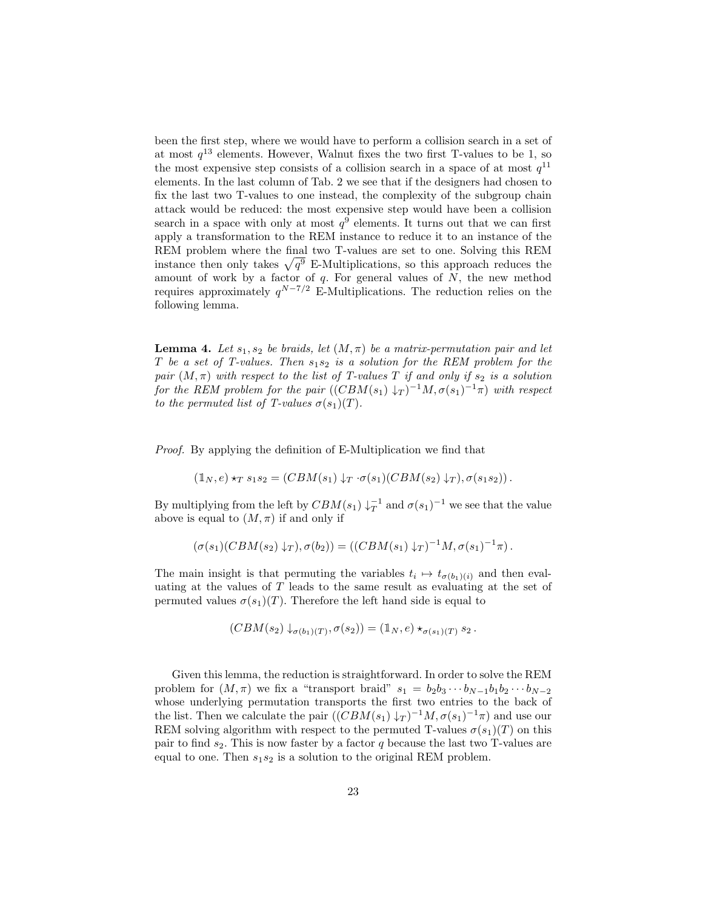been the first step, where we would have to perform a collision search in a set of at most  $q^{13}$  elements. However, Walnut fixes the two first T-values to be 1, so the most expensive step consists of a collision search in a space of at most  $q^{11}$ elements. In the last column of Tab. 2 we see that if the designers had chosen to fix the last two T-values to one instead, the complexity of the subgroup chain attack would be reduced: the most expensive step would have been a collision search in a space with only at most  $q^9$  elements. It turns out that we can first apply a transformation to the REM instance to reduce it to an instance of the REM problem where the final two T-values are set to one. Solving this REM instance then only takes  $\sqrt{q^9}$  E-Multiplications, so this approach reduces the amount of work by a factor of  $q$ . For general values of  $N$ , the new method requires approximately  $q^{N-7/2}$  E-Multiplications. The reduction relies on the following lemma.

**Lemma 4.** Let  $s_1, s_2$  be braids, let  $(M, \pi)$  be a matrix-permutation pair and let T be a set of T-values. Then  $s_1s_2$  is a solution for the REM problem for the pair  $(M, \pi)$  with respect to the list of T-values T if and only if  $s_2$  is a solution for the REM problem for the pair  $((CBM(s_1) \downarrow_T)^{-1}M, \sigma(s_1)^{-1}\pi)$  with respect to the permuted list of T-values  $\sigma(s_1)(T)$ .

Proof. By applying the definition of E-Multiplication we find that

$$
(\mathbb{1}_N, e) \star_T s_1 s_2 = (CBM(s_1) \downarrow_T \cdot \sigma(s_1)(CBM(s_2) \downarrow_T), \sigma(s_1 s_2)).
$$

By multiplying from the left by  $CBM(s_1) \downarrow_T^{-1}$  and  $\sigma(s_1)^{-1}$  we see that the value above is equal to  $(M, \pi)$  if and only if

$$
(\sigma(s_1)(CBM(s_2)\downarrow_T), \sigma(b_2)) = ((CBM(s_1)\downarrow_T)^{-1}M, \sigma(s_1)^{-1}\pi).
$$

The main insight is that permuting the variables  $t_i \mapsto t_{\sigma(b_1)(i)}$  and then evaluating at the values of  $T$  leads to the same result as evaluating at the set of permuted values  $\sigma(s_1)(T)$ . Therefore the left hand side is equal to

$$
(CBM(s2) \downarrow_{\sigma(b_1)(T)}, \sigma(s_2)) = (\mathbb{1}_N, e) \star_{\sigma(s_1)(T)} s_2.
$$

Given this lemma, the reduction is straightforward. In order to solve the REM problem for  $(M, \pi)$  we fix a "transport braid"  $s_1 = b_2b_3 \cdots b_{N-1}b_1b_2 \cdots b_{N-2}$ whose underlying permutation transports the first two entries to the back of the list. Then we calculate the pair  $((CBM(s_1) \downarrow_T)^{-1}M, \sigma(s_1)^{-1}\pi)$  and use our REM solving algorithm with respect to the permuted T-values  $\sigma(s_1)(T)$  on this pair to find  $s_2$ . This is now faster by a factor q because the last two T-values are equal to one. Then  $s_1s_2$  is a solution to the original REM problem.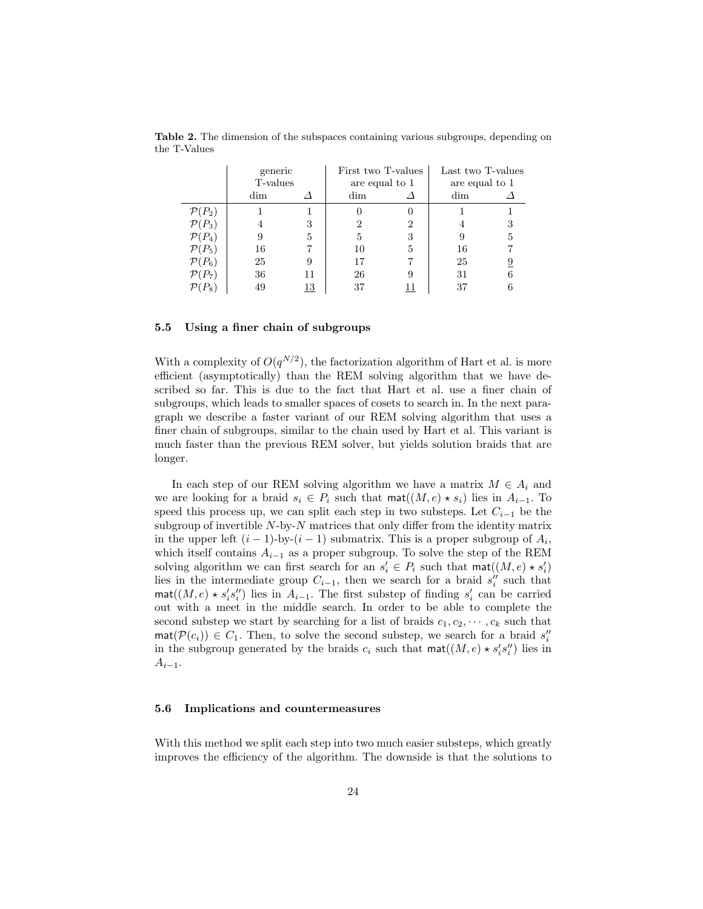|                    | generic  |            | First two T-values |   | Last two T-values |          |
|--------------------|----------|------------|--------------------|---|-------------------|----------|
|                    | T-values |            | are equal to 1     |   | are equal to 1    |          |
|                    | dim      |            | dim                |   | dim               |          |
| $\mathcal{P}(P_2)$ |          |            |                    |   |                   |          |
| $\mathcal{P}(P_3)$ |          | 3          |                    | 2 |                   |          |
| $\mathcal{P}(P_4)$ |          | 5          | 5                  | 3 |                   | 5        |
| $\mathcal{P}(P_5)$ | 16       |            | 10                 | 5 | 16                |          |
| $\mathcal{P}(P_6)$ | 25       | 9          | 17                 |   | 25                | <u>9</u> |
| $\mathcal{P}(P_7)$ | 36       | 11         | 26                 | 9 | 31                | 6        |
| $P(P_8)$           | 49       | <u> 13</u> | 37                 |   |                   |          |

Table 2. The dimension of the subspaces containing various subgroups, depending on the T-Values

#### 5.5 Using a finer chain of subgroups

With a complexity of  $O(q^{N/2})$ , the factorization algorithm of Hart et al. is more efficient (asymptotically) than the REM solving algorithm that we have described so far. This is due to the fact that Hart et al. use a finer chain of subgroups, which leads to smaller spaces of cosets to search in. In the next paragraph we describe a faster variant of our REM solving algorithm that uses a finer chain of subgroups, similar to the chain used by Hart et al. This variant is much faster than the previous REM solver, but yields solution braids that are longer.

In each step of our REM solving algorithm we have a matrix  $M \in A_i$  and we are looking for a braid  $s_i \in P_i$  such that  $\text{mat}((M, e) \star s_i)$  lies in  $A_{i-1}$ . To speed this process up, we can split each step in two substeps. Let  $C_{i-1}$  be the subgroup of invertible  $N$ -by- $N$  matrices that only differ from the identity matrix in the upper left  $(i - 1)$ -by- $(i - 1)$  submatrix. This is a proper subgroup of  $A_i$ , which itself contains  $A_{i-1}$  as a proper subgroup. To solve the step of the REM solving algorithm we can first search for an  $s_i' \in P_i$  such that  $\text{mat}((M, e) \star s_i')$ lies in the intermediate group  $C_{i-1}$ , then we search for a braid  $s''_i$  such that  $\textsf{mat}((M, e) \star s_i's_i'')$  lies in  $A_{i-1}$ . The first substep of finding  $s_i'$  can be carried out with a meet in the middle search. In order to be able to complete the second substep we start by searching for a list of braids  $c_1, c_2, \dots, c_k$  such that  $\mathsf{mat}(\mathcal{P}(c_i)) \in C_1$ . Then, to solve the second substep, we search for a braid  $s''_i$ in the subgroup generated by the braids  $c_i$  such that  $\text{mat}((M, e) \star s_i's_i'')$  lies in  $A_{i-1}$ .

#### 5.6 Implications and countermeasures

With this method we split each step into two much easier substeps, which greatly improves the efficiency of the algorithm. The downside is that the solutions to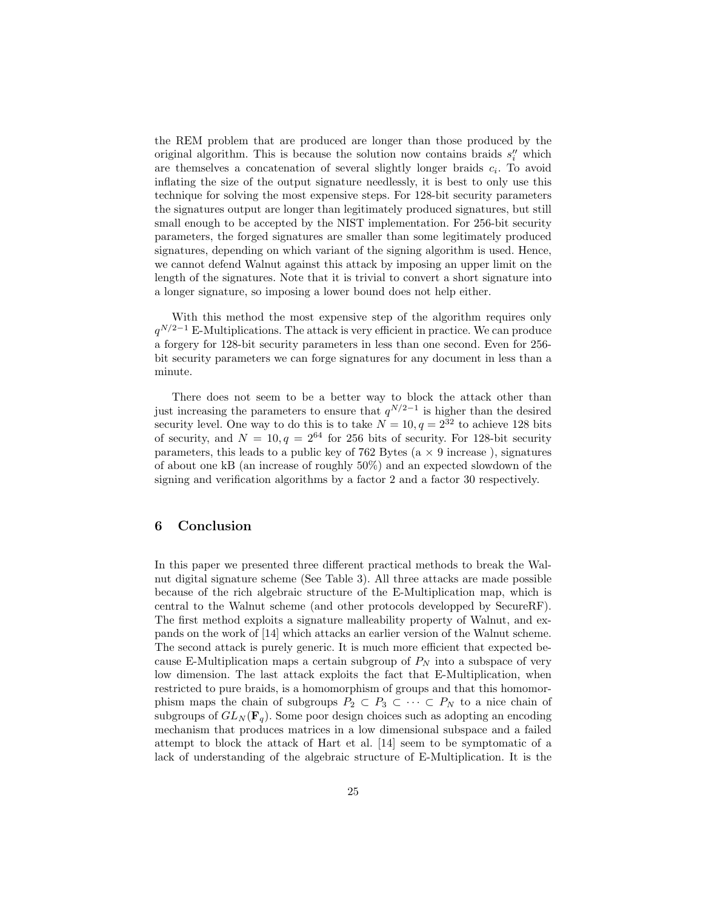the REM problem that are produced are longer than those produced by the original algorithm. This is because the solution now contains braids  $s_i''$  which are themselves a concatenation of several slightly longer braids  $c_i$ . To avoid inflating the size of the output signature needlessly, it is best to only use this technique for solving the most expensive steps. For 128-bit security parameters the signatures output are longer than legitimately produced signatures, but still small enough to be accepted by the NIST implementation. For 256-bit security parameters, the forged signatures are smaller than some legitimately produced signatures, depending on which variant of the signing algorithm is used. Hence, we cannot defend Walnut against this attack by imposing an upper limit on the length of the signatures. Note that it is trivial to convert a short signature into a longer signature, so imposing a lower bound does not help either.

With this method the most expensive step of the algorithm requires only  $q^{N/2-1}$  E-Multiplications. The attack is very efficient in practice. We can produce a forgery for 128-bit security parameters in less than one second. Even for 256 bit security parameters we can forge signatures for any document in less than a minute.

There does not seem to be a better way to block the attack other than just increasing the parameters to ensure that  $q^{N/2-1}$  is higher than the desired security level. One way to do this is to take  $N = 10, q = 2^{32}$  to achieve 128 bits of security, and  $N = 10, q = 2^{64}$  for 256 bits of security. For 128-bit security parameters, this leads to a public key of 762 Bytes ( $a \times 9$  increase), signatures of about one kB (an increase of roughly 50%) and an expected slowdown of the signing and verification algorithms by a factor 2 and a factor 30 respectively.

## 6 Conclusion

In this paper we presented three different practical methods to break the Walnut digital signature scheme (See Table 3). All three attacks are made possible because of the rich algebraic structure of the E-Multiplication map, which is central to the Walnut scheme (and other protocols developped by SecureRF). The first method exploits a signature malleability property of Walnut, and expands on the work of [14] which attacks an earlier version of the Walnut scheme. The second attack is purely generic. It is much more efficient that expected because E-Multiplication maps a certain subgroup of  $P<sub>N</sub>$  into a subspace of very low dimension. The last attack exploits the fact that E-Multiplication, when restricted to pure braids, is a homomorphism of groups and that this homomorphism maps the chain of subgroups  $P_2 \subset P_3 \subset \cdots \subset P_N$  to a nice chain of subgroups of  $GL_N(\mathbf{F}_q)$ . Some poor design choices such as adopting an encoding mechanism that produces matrices in a low dimensional subspace and a failed attempt to block the attack of Hart et al. [14] seem to be symptomatic of a lack of understanding of the algebraic structure of E-Multiplication. It is the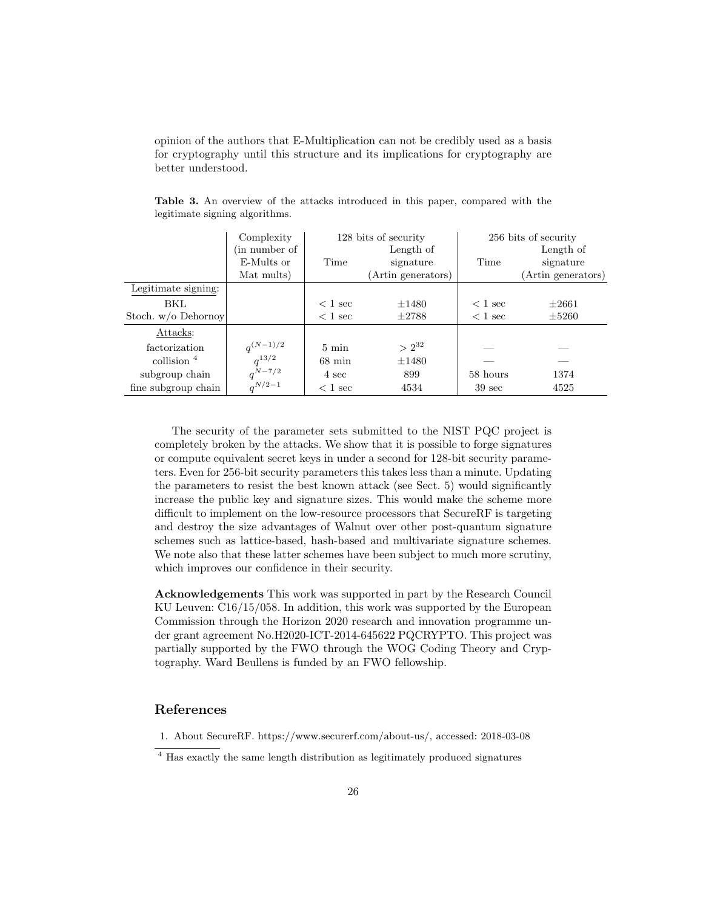opinion of the authors that E-Multiplication can not be credibly used as a basis for cryptography until this structure and its implications for cryptography are better understood.

|                       | Complexity    | 128 bits of security |                    | 256 bits of security |                   |
|-----------------------|---------------|----------------------|--------------------|----------------------|-------------------|
|                       | (in number of |                      | Length of          |                      | Length of         |
|                       | E-Mults or    | Time                 | signature          | Time                 | signature         |
|                       | Mat mults)    |                      | (Artin generators) |                      | Artin generators) |
| Legitimate signing:   |               |                      |                    |                      |                   |
| BKL                   |               | $< 1$ sec            | $\pm 1480$         | $< 1$ sec            | $\pm 2661$        |
| Stoch. $w/o$ Dehornoy |               | $< 1$ sec            | $\pm 2788$         | $< 1$ sec            | $\pm 5260$        |
| Attacks:              |               |                      |                    |                      |                   |
| factorization         | $q^{(N-1)/2}$ | $5 \text{ min}$      | $> 2^{32}$         |                      |                   |
| collision $4$         | $q^{13/2}$    | $68 \text{ min}$     | $\pm 1480$         |                      |                   |
| subgroup chain        | $a^{N-7/2}$   | 4 sec                | 899                | 58 hours             | 1374              |
| fine subgroup chain   | $a^{N/2-1}$   | $< 1$ sec            | 4534               | $39 \text{ sec}$     | 4525              |

Table 3. An overview of the attacks introduced in this paper, compared with the legitimate signing algorithms.

The security of the parameter sets submitted to the NIST PQC project is completely broken by the attacks. We show that it is possible to forge signatures or compute equivalent secret keys in under a second for 128-bit security parameters. Even for 256-bit security parameters this takes less than a minute. Updating the parameters to resist the best known attack (see Sect. 5) would significantly increase the public key and signature sizes. This would make the scheme more difficult to implement on the low-resource processors that SecureRF is targeting and destroy the size advantages of Walnut over other post-quantum signature schemes such as lattice-based, hash-based and multivariate signature schemes. We note also that these latter schemes have been subject to much more scrutiny, which improves our confidence in their security.

Acknowledgements This work was supported in part by the Research Council KU Leuven: C16/15/058. In addition, this work was supported by the European Commission through the Horizon 2020 research and innovation programme under grant agreement No.H2020-ICT-2014-645622 PQCRYPTO. This project was partially supported by the FWO through the WOG Coding Theory and Cryptography. Ward Beullens is funded by an FWO fellowship.

# References

1. About SecureRF. https://www.securerf.com/about-us/, accessed: 2018-03-08

<sup>&</sup>lt;sup>4</sup> Has exactly the same length distribution as legitimately produced signatures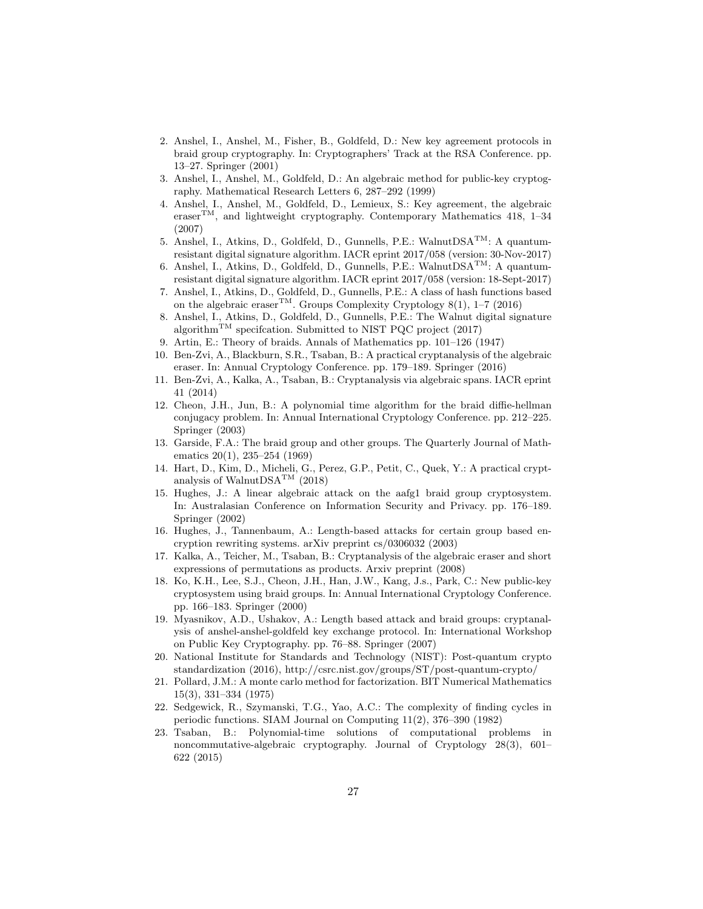- 2. Anshel, I., Anshel, M., Fisher, B., Goldfeld, D.: New key agreement protocols in braid group cryptography. In: Cryptographers' Track at the RSA Conference. pp. 13–27. Springer (2001)
- 3. Anshel, I., Anshel, M., Goldfeld, D.: An algebraic method for public-key cryptography. Mathematical Research Letters 6, 287–292 (1999)
- 4. Anshel, I., Anshel, M., Goldfeld, D., Lemieux, S.: Key agreement, the algebraic eraser<sup>TM</sup>, and lightweight cryptography. Contemporary Mathematics 418, 1–34 (2007)
- 5. Anshel, I., Atkins, D., Goldfeld, D., Gunnells, P.E.: WalnutDSA<sup>TM</sup>: A quantumresistant digital signature algorithm. IACR eprint 2017/058 (version: 30-Nov-2017)
- 6. Anshel, I., Atkins, D., Goldfeld, D., Gunnells, P.E.: WalnutDSA<sup>TM</sup>: A quantumresistant digital signature algorithm. IACR eprint 2017/058 (version: 18-Sept-2017)
- 7. Anshel, I., Atkins, D., Goldfeld, D., Gunnells, P.E.: A class of hash functions based on the algebraic eraser<sup>TM</sup>. Groups Complexity Cryptology 8(1), 1–7 (2016)
- 8. Anshel, I., Atkins, D., Goldfeld, D., Gunnells, P.E.: The Walnut digital signature algorithm<sup>TM</sup> specifcation. Submitted to NIST PQC project (2017)
- 9. Artin, E.: Theory of braids. Annals of Mathematics pp. 101–126 (1947)
- 10. Ben-Zvi, A., Blackburn, S.R., Tsaban, B.: A practical cryptanalysis of the algebraic eraser. In: Annual Cryptology Conference. pp. 179–189. Springer (2016)
- 11. Ben-Zvi, A., Kalka, A., Tsaban, B.: Cryptanalysis via algebraic spans. IACR eprint 41 (2014)
- 12. Cheon, J.H., Jun, B.: A polynomial time algorithm for the braid diffie-hellman conjugacy problem. In: Annual International Cryptology Conference. pp. 212–225. Springer (2003)
- 13. Garside, F.A.: The braid group and other groups. The Quarterly Journal of Mathematics 20(1), 235–254 (1969)
- 14. Hart, D., Kim, D., Micheli, G., Perez, G.P., Petit, C., Quek, Y.: A practical cryptanalysis of WalnutDSA<sup>TM</sup> (2018)
- 15. Hughes, J.: A linear algebraic attack on the aafg1 braid group cryptosystem. In: Australasian Conference on Information Security and Privacy. pp. 176–189. Springer (2002)
- 16. Hughes, J., Tannenbaum, A.: Length-based attacks for certain group based encryption rewriting systems. arXiv preprint cs/0306032 (2003)
- 17. Kalka, A., Teicher, M., Tsaban, B.: Cryptanalysis of the algebraic eraser and short expressions of permutations as products. Arxiv preprint (2008)
- 18. Ko, K.H., Lee, S.J., Cheon, J.H., Han, J.W., Kang, J.s., Park, C.: New public-key cryptosystem using braid groups. In: Annual International Cryptology Conference. pp. 166–183. Springer (2000)
- 19. Myasnikov, A.D., Ushakov, A.: Length based attack and braid groups: cryptanalysis of anshel-anshel-goldfeld key exchange protocol. In: International Workshop on Public Key Cryptography. pp. 76–88. Springer (2007)
- 20. National Institute for Standards and Technology (NIST): Post-quantum crypto standardization (2016), http://csrc.nist.gov/groups/ST/post-quantum-crypto/
- 21. Pollard, J.M.: A monte carlo method for factorization. BIT Numerical Mathematics 15(3), 331–334 (1975)
- 22. Sedgewick, R., Szymanski, T.G., Yao, A.C.: The complexity of finding cycles in periodic functions. SIAM Journal on Computing 11(2), 376–390 (1982)
- 23. Tsaban, B.: Polynomial-time solutions of computational problems in noncommutative-algebraic cryptography. Journal of Cryptology 28(3), 601– 622 (2015)